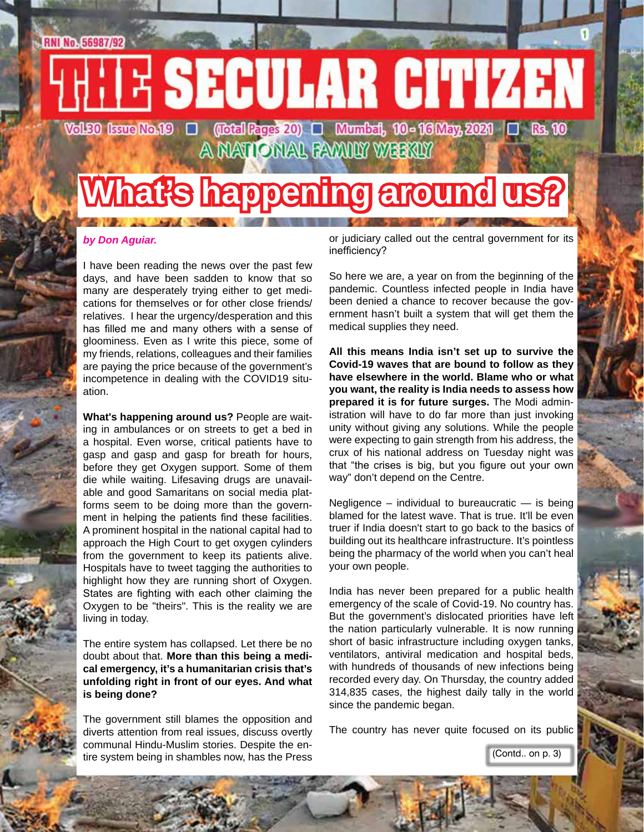# **RNI No. 56987/92 TE SECULAR CITIZEN Vol£0 Isue No.19 □ (Iotal Rages 20) □ Mumbat, 10 - 16 May, 2021 □ Bs. 10**

A NATIONAL FAMILY WEEKLY

# **What's happening around us?**

#### *by Don Aguiar.*

I have been reading the news over the past few days, and have been sadden to know that so many are desperately trying either to get medications for themselves or for other close friends/ relatives. I hear the urgency/desperation and this has filled me and many others with a sense of gloominess. Even as I write this piece, some of my friends, relations, colleagues and their families are paying the price because of the government's incompetence in dealing with the COVID19 situation.

**What's happening around us?** People are waiting in ambulances or on streets to get a bed in a hospital. Even worse, critical patients have to gasp and gasp and gasp for breath for hours, before they get Oxygen support. Some of them die while waiting. Lifesaving drugs are unavailable and good Samaritans on social media platforms seem to be doing more than the government in helping the patients find these facilities. A prominent hospital in the national capital had to approach the High Court to get oxygen cylinders from the government to keep its patients alive. Hospitals have to tweet tagging the authorities to highlight how they are running short of Oxygen. States are fighting with each other claiming the Oxygen to be "theirs". This is the reality we are living in today.

The entire system has collapsed. Let there be no doubt about that. **More than this being a medical emergency, it's a humanitarian crisis that's unfolding right in front of our eyes. And what is being done?**

The government still blames the opposition and diverts attention from real issues, discuss overtly communal Hindu-Muslim stories. Despite the entire system being in shambles now, has the Press (Contd.. on p. 3)

or judiciary called out the central government for its inefficiency?

So here we are, a year on from the beginning of the pandemic. Countless infected people in India have been denied a chance to recover because the government hasn't built a system that will get them the medical supplies they need.

**All this means India isn't set up to survive the Covid-19 waves that are bound to follow as they have elsewhere in the world. Blame who or what you want, the reality is India needs to assess how prepared it is for future surges.** The Modi administration will have to do far more than just invoking unity without giving any solutions. While the people were expecting to gain strength from his address, the crux of his national address on Tuesday night was that "the crises is big, but you figure out your own way" don't depend on the Centre.

Negligence – individual to bureaucratic  $-$  is being blamed for the latest wave. That is true. It'll be even truer if India doesn't start to go back to the basics of building out its healthcare infrastructure. It's pointless being the pharmacy of the world when you can't heal your own people.

India has never been prepared for a public health emergency of the scale of Covid-19. No country has. But the government's dislocated priorities have left the nation particularly vulnerable. It is now running short of basic infrastructure including oxygen tanks, ventilators, antiviral medication and hospital beds, with hundreds of thousands of new infections being recorded every day. On Thursday, the country added 314,835 cases, the highest daily tally in the world since the pandemic began.

The country has never quite focused on its public

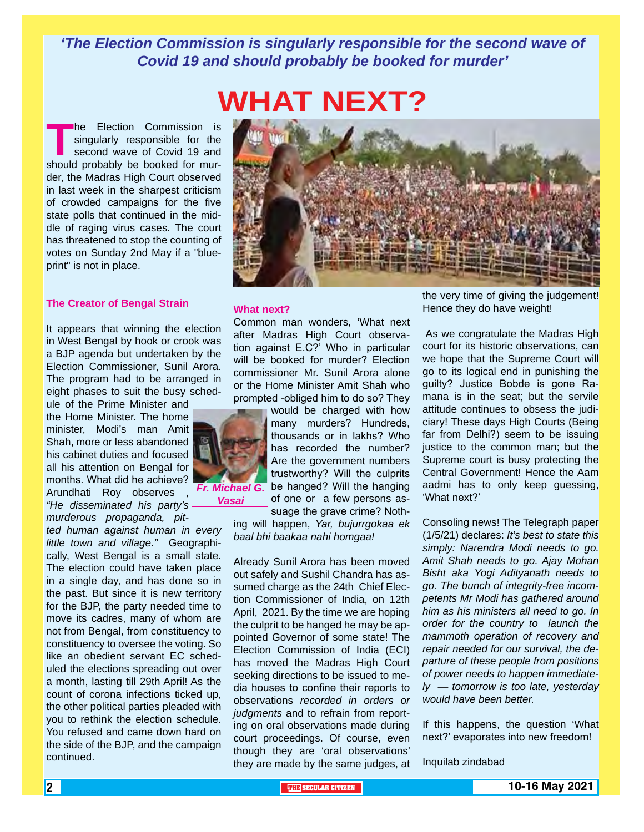*'The Election Commission is singularly responsible for the second wave of Covid 19 and should probably be booked for murder'*

# **WHAT NEXT?**

**The Election Commission is singularly responsible for the second wave of Covid 19 and should probably be booked for mur**singularly responsible for the second wave of Covid 19 and der, the Madras High Court observed in last week in the sharpest criticism of crowded campaigns for the five state polls that continued in the middle of raging virus cases. The court has threatened to stop the counting of votes on Sunday 2nd May if a "blueprint" is not in place.

#### **The Creator of Bengal Strain**

It appears that winning the election in West Bengal by hook or crook was a BJP agenda but undertaken by the Election Commissioner, Sunil Arora. The program had to be arranged in eight phases to suit the busy sched-

ule of the Prime Minister and the Home Minister. The home minister, Modi's man Amit Shah, more or less abandoned his cabinet duties and focused all his attention on Bengal for months. What did he achieve? Arundhati Roy observes *"He disseminated his party's murderous propaganda, pit-*

*ted human against human in every little town and village."* Geographically, West Bengal is a small state. The election could have taken place in a single day, and has done so in the past. But since it is new territory for the BJP, the party needed time to move its cadres, many of whom are not from Bengal, from constituency to constituency to oversee the voting. So like an obedient servant EC scheduled the elections spreading out over a month, lasting till 29th April! As the count of corona infections ticked up, the other political parties pleaded with you to rethink the election schedule. You refused and came down hard on the side of the BJP, and the campaign continued.



#### **What next?**

Common man wonders, 'What next after Madras High Court observation against E.C?' Who in particular will be booked for murder? Election commissioner Mr. Sunil Arora alone or the Home Minister Amit Shah who prompted -obliged him to do so? They



*Vasai*

thousands or in lakhs? Who has recorded the number? Are the government numbers trustworthy? Will the culprits be hanged? Will the hanging of one or a few persons assuage the grave crime? Noth-

ing will happen, *Yar, bujurrgokaa ek baal bhi baakaa nahi homgaa!*

Already Sunil Arora has been moved out safely and Sushil Chandra has assumed charge as the 24th Chief Election Commissioner of India, on 12th April, 2021. By the time we are hoping the culprit to be hanged he may be appointed Governor of some state! The Election Commission of India (ECI) has moved the Madras High Court seeking directions to be issued to media houses to confine their reports to observations *recorded in orders or judgments* and to refrain from reporting on oral observations made during court proceedings. Of course, even though they are 'oral observations' they are made by the same judges, at

the very time of giving the judgement! Hence they do have weight!

As we congratulate the Madras High court for its historic observations, can we hope that the Supreme Court will go to its logical end in punishing the guilty? Justice Bobde is gone Ramana is in the seat; but the servile attitude continues to obsess the judiciary! These days High Courts (Being far from Delhi?) seem to be issuing justice to the common man; but the Supreme court is busy protecting the Central Government! Hence the Aam aadmi has to only keep guessing, 'What next?'

Consoling news! The Telegraph paper (1/5/21) declares: *It's best to state this simply: Narendra Modi needs to go. Amit Shah needs to go. Ajay Mohan Bisht aka Yogi Adityanath needs to go. The bunch of integrity-free incompetents Mr Modi has gathered around him as his ministers all need to go. In order for the country to launch the mammoth operation of recovery and repair needed for our survival, the departure of these people from positions of power needs to happen immediately — tomorrow is too late, yesterday would have been better.*

If this happens, the question 'What next?' evaporates into new freedom!

Inquilab zindabad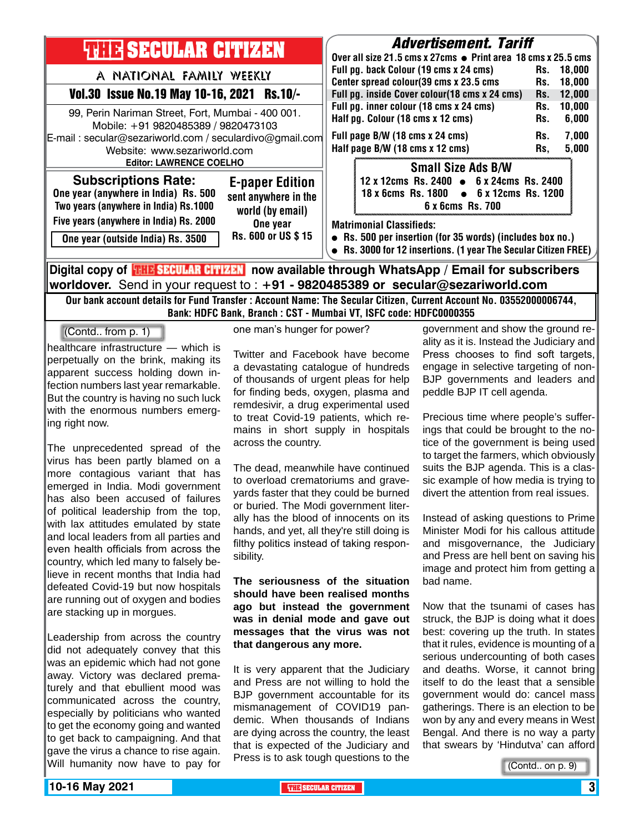| <b>THEIR SECULAR CITIZEN</b><br>A NATIONAL FAMILY WEEKLY<br>Vol.30 Issue No.19 May 10-16, 2021 Rs.10/-<br>99, Perin Nariman Street, Fort, Mumbai - 400 001.<br>Mobile: +91 9820485389 / 9820473103<br>E-mail: secular@sezariworld.com / seculardivo@gmail.com<br>Website: www.sezariworld.com<br><b>Editor: LAWRENCE COELHO</b> | <b>Advertisement. Tariff</b><br>Over all size 21.5 cms x 27cms ● Print area 18 cms x 25.5 cms<br>Full pg. back Colour (19 cms x 24 cms)<br>18.000<br>Rs.<br>Center spread colour(39 cms x 23.5 cms<br>18,000<br>Rs.<br>Full pg. inside Cover colour(18 cms x 24 cms)<br>12,000<br>Rs.<br>Full pg. inner colour (18 cms x 24 cms)<br>10,000<br>Rs.<br>Half pg. Colour (18 cms x 12 cms)<br>6,000<br>Rs.<br>Full page B/W (18 cms x 24 cms)<br>7,000<br>Rs.<br>Half page B/W (18 cms x 12 cms)<br>5,000<br>Rs, |  |  |  |
|---------------------------------------------------------------------------------------------------------------------------------------------------------------------------------------------------------------------------------------------------------------------------------------------------------------------------------|--------------------------------------------------------------------------------------------------------------------------------------------------------------------------------------------------------------------------------------------------------------------------------------------------------------------------------------------------------------------------------------------------------------------------------------------------------------------------------------------------------------|--|--|--|
| <b>Subscriptions Rate:</b><br><b>E-paper Edition</b><br>One year (anywhere in India) Rs. 500<br>sent anywhere in the<br>Two years (anywhere in India) Rs.1000<br>world (by email)<br>Five years (anywhere in India) Rs. 2000<br>One year<br>Rs. 600 or US \$15<br>One year (outside India) Rs. 3500                             | <b>Small Size Ads B/W</b><br>12 x 12cms Rs. 2400 • 6 x 24cms Rs. 2400<br>$\bullet$ 6 x 12cms Rs. 1200<br>18 x 6cms Rs. 1800<br>6 x 6cms Rs. 700                                                                                                                                                                                                                                                                                                                                                              |  |  |  |
|                                                                                                                                                                                                                                                                                                                                 | <b>Matrimonial Classifieds:</b><br>• Rs. 500 per insertion (for 35 words) (includes box no.)<br>• Rs. 3000 for 12 insertions. (1 year The Secular Citizen FREE)                                                                                                                                                                                                                                                                                                                                              |  |  |  |
| Digital copy of <b>THE SECULAR CITIZEN</b> now available through WhatsApp / Email for subscribers<br>worldover. Send in your request to : +91 - 9820485389 or secular@sezariworld.com                                                                                                                                           |                                                                                                                                                                                                                                                                                                                                                                                                                                                                                                              |  |  |  |

Our bank account details for Fund Transfer : Account Name: The Secular Citizen, Current Account No. 03552000006744, Bank: HDFC Bank, Branch : CST - Mumbai VT, ISFC code: HDFC0000355

(Contd.. from p. 1)

healthcare infrastructure — which is perpetually on the brink, making its apparent success holding down infection numbers last year remarkable. But the country is having no such luck with the enormous numbers emerging right now.

The unprecedented spread of the virus has been partly blamed on a more contagious variant that has emerged in India. Modi government has also been accused of failures of political leadership from the top, with lax attitudes emulated by state and local leaders from all parties and even health officials from across the country, which led many to falsely believe in recent months that India had defeated Covid-19 but now hospitals are running out of oxygen and bodies are stacking up in morgues.

Leadership from across the country did not adequately convey that this was an epidemic which had not gone away. Victory was declared prematurely and that ebullient mood was communicated across the country, especially by politicians who wanted to get the economy going and wanted to get back to campaigning. And that gave the virus a chance to rise again. Will humanity now have to pay for one man's hunger for power?

Twitter and Facebook have become a devastating catalogue of hundreds of thousands of urgent pleas for help for finding beds, oxygen, plasma and remdesivir, a drug experimental used to treat Covid-19 patients, which remains in short supply in hospitals across the country.

The dead, meanwhile have continued to overload crematoriums and graveyards faster that they could be burned or buried. The Modi government literally has the blood of innocents on its hands, and yet, all they're still doing is filthy politics instead of taking responsibility.

**The seriousness of the situation should have been realised months ago but instead the government was in denial mode and gave out messages that the virus was not that dangerous any more.**

It is very apparent that the Judiciary and Press are not willing to hold the BJP government accountable for its mismanagement of COVID19 pandemic. When thousands of Indians are dying across the country, the least that is expected of the Judiciary and Press is to ask tough questions to the

government and show the ground reality as it is. Instead the Judiciary and Press chooses to find soft targets, engage in selective targeting of non-BJP governments and leaders and peddle BJP IT cell agenda.

Precious time where people's sufferings that could be brought to the notice of the government is being used to target the farmers, which obviously suits the BJP agenda. This is a classic example of how media is trying to divert the attention from real issues.

Instead of asking questions to Prime Minister Modi for his callous attitude and misgovernance, the Judiciary and Press are hell bent on saving his image and protect him from getting a bad name.

Now that the tsunami of cases has struck, the BJP is doing what it does best: covering up the truth. In states that it rules, evidence is mounting of a serious undercounting of both cases and deaths. Worse, it cannot bring itself to do the least that a sensible government would do: cancel mass gatherings. There is an election to be won by any and every means in West Bengal. And there is no way a party that swears by 'Hindutva' can afford

(Contd.. on p. 9)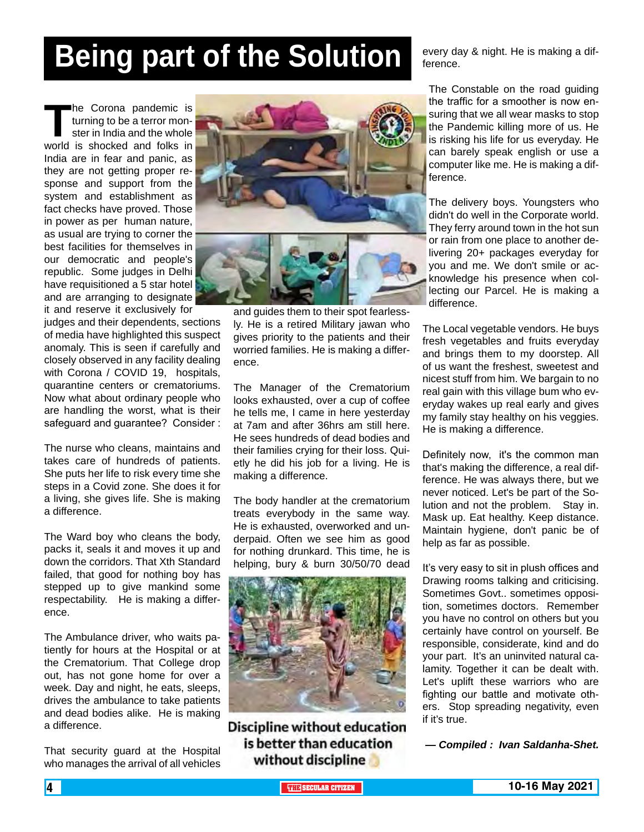# **Being part of the Solution**

The Corona pandemic is<br>
turning to be a terror mon-<br>
ster in India and the whole<br>
world is shocked and folks in turning to be a terror monster in India and the whole India are in fear and panic, as they are not getting proper response and support from the system and establishment as fact checks have proved. Those in power as per human nature, as usual are trying to corner the best facilities for themselves in our democratic and people's republic. Some judges in Delhi have requisitioned a 5 star hotel and are arranging to designate it and reserve it exclusively for

judges and their dependents, sections of media have highlighted this suspect anomaly. This is seen if carefully and closely observed in any facility dealing with Corona / COVID 19, hospitals, quarantine centers or crematoriums. Now what about ordinary people who are handling the worst, what is their safeguard and guarantee? Consider :

The nurse who cleans, maintains and takes care of hundreds of patients. She puts her life to risk every time she steps in a Covid zone. She does it for a living, she gives life. She is making a difference.

The Ward boy who cleans the body, packs it, seals it and moves it up and down the corridors. That Xth Standard failed, that good for nothing boy has stepped up to give mankind some respectability. He is making a difference.

The Ambulance driver, who waits patiently for hours at the Hospital or at the Crematorium. That College drop out, has not gone home for over a week. Day and night, he eats, sleeps, drives the ambulance to take patients and dead bodies alike. He is making a difference.

That security guard at the Hospital who manages the arrival of all vehicles



and guides them to their spot fearlessly. He is a retired Military jawan who gives priority to the patients and their worried families. He is making a difference.

The Manager of the Crematorium looks exhausted, over a cup of coffee he tells me, I came in here yesterday at 7am and after 36hrs am still here. He sees hundreds of dead bodies and their families crying for their loss. Quietly he did his job for a living. He is making a difference.

The body handler at the crematorium treats everybody in the same way. He is exhausted, overworked and underpaid. Often we see him as good for nothing drunkard. This time, he is helping, bury & burn 30/50/70 dead



**Discipline without education** is better than education without discipline

every day & night. He is making a difference.

The Constable on the road guiding the traffic for a smoother is now ensuring that we all wear masks to stop the Pandemic killing more of us. He is risking his life for us everyday. He can barely speak english or use a computer like me. He is making a difference.

The delivery boys. Youngsters who didn't do well in the Corporate world. They ferry around town in the hot sun or rain from one place to another delivering 20+ packages everyday for you and me. We don't smile or acknowledge his presence when collecting our Parcel. He is making a difference.

The Local vegetable vendors. He buys fresh vegetables and fruits everyday and brings them to my doorstep. All of us want the freshest, sweetest and nicest stuff from him. We bargain to no real gain with this village bum who everyday wakes up real early and gives my family stay healthy on his veggies. He is making a difference.

Definitely now, it's the common man that's making the difference, a real difference. He was always there, but we never noticed. Let's be part of the Solution and not the problem. Stay in. Mask up. Eat healthy. Keep distance. Maintain hygiene, don't panic be of help as far as possible.

It's very easy to sit in plush offices and Drawing rooms talking and criticising. Sometimes Govt.. sometimes opposition, sometimes doctors. Remember you have no control on others but you certainly have control on yourself. Be responsible, considerate, kind and do your part. It's an uninvited natural calamity. Together it can be dealt with. Let's uplift these warriors who are fighting our battle and motivate others. Stop spreading negativity, even if it's true.

*— Compiled : Ivan Saldanha-Shet.*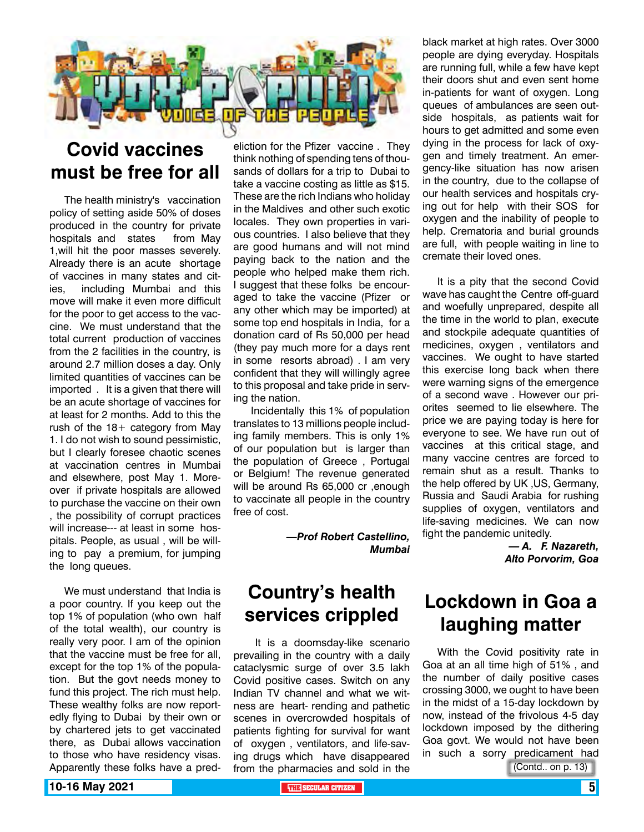

## **Covid vaccines must be free for all**

The health ministry's vaccination policy of setting aside 50% of doses produced in the country for private hospitals and states from May 1,will hit the poor masses severely. Already there is an acute shortage of vaccines in many states and cities, including Mumbai and this move will make it even more difficult for the poor to get access to the vaccine. We must understand that the total current production of vaccines from the 2 facilities in the country, is around 2.7 million doses a day. Only limited quantities of vaccines can be imported . It is a given that there will be an acute shortage of vaccines for at least for 2 months. Add to this the rush of the 18+ category from May 1. I do not wish to sound pessimistic, but I clearly foresee chaotic scenes at vaccination centres in Mumbai and elsewhere, post May 1. Moreover if private hospitals are allowed to purchase the vaccine on their own , the possibility of corrupt practices will increase--- at least in some hospitals. People, as usual , will be willing to pay a premium, for jumping the long queues.

We must understand that India is a poor country. If you keep out the top 1% of population (who own half of the total wealth), our country is really very poor. I am of the opinion that the vaccine must be free for all, except for the top 1% of the population. But the govt needs money to fund this project. The rich must help. These wealthy folks are now reportedly flying to Dubai by their own or by chartered jets to get vaccinated there, as Dubai allows vaccination to those who have residency visas. Apparently these folks have a pred-

eliction for the Pfizer vaccine . They think nothing of spending tens of thousands of dollars for a trip to Dubai to take a vaccine costing as little as \$15. These are the rich Indians who holiday in the Maldives and other such exotic locales. They own properties in various countries. I also believe that they are good humans and will not mind paying back to the nation and the people who helped make them rich. I suggest that these folks be encouraged to take the vaccine (Pfizer or any other which may be imported) at some top end hospitals in India, for a donation card of Rs 50,000 per head (they pay much more for a days rent in some resorts abroad) . I am very confident that they will willingly agree to this proposal and take pride in serving the nation.

 Incidentally this 1% of population translates to 13 millions people including family members. This is only 1% of our population but is larger than the population of Greece , Portugal or Belgium! The revenue generated will be around Rs 65,000 cr ,enough to vaccinate all people in the country free of cost.

> *—Prof Robert Castellino, Mumbai*

## **Country's health services crippled**

 It is a doomsday-like scenario prevailing in the country with a daily cataclysmic surge of over 3.5 lakh Covid positive cases. Switch on any Indian TV channel and what we witness are heart- rending and pathetic scenes in overcrowded hospitals of patients fighting for survival for want of oxygen , ventilators, and life-saving drugs which have disappeared from the pharmacies and sold in the

black market at high rates. Over 3000 people are dying everyday. Hospitals are running full, while a few have kept their doors shut and even sent home in-patients for want of oxygen. Long queues of ambulances are seen outside hospitals, as patients wait for hours to get admitted and some even dying in the process for lack of oxygen and timely treatment. An emergency-like situation has now arisen in the country, due to the collapse of our health services and hospitals crying out for help with their SOS for oxygen and the inability of people to help. Crematoria and burial grounds are full, with people waiting in line to cremate their loved ones.

It is a pity that the second Covid wave has caught the Centre off-guard and woefully unprepared, despite all the time in the world to plan, execute and stockpile adequate quantities of medicines, oxygen , ventilators and vaccines. We ought to have started this exercise long back when there were warning signs of the emergence of a second wave . However our priorites seemed to lie elsewhere. The price we are paying today is here for everyone to see. We have run out of vaccines at this critical stage, and many vaccine centres are forced to remain shut as a result. Thanks to the help offered by UK ,US, Germany, Russia and Saudi Arabia for rushing supplies of oxygen, ventilators and life-saving medicines. We can now fight the pandemic unitedly.

*— A. F. Nazareth, Alto Porvorim, Goa* 

## **Lockdown in Goa a laughing matter**

With the Covid positivity rate in Goa at an all time high of 51% , and the number of daily positive cases crossing 3000, we ought to have been in the midst of a 15-day lockdown by now, instead of the frivolous 4-5 day lockdown imposed by the dithering Goa govt. We would not have been in such a sorry predicament had

(Contd.. on p. 13)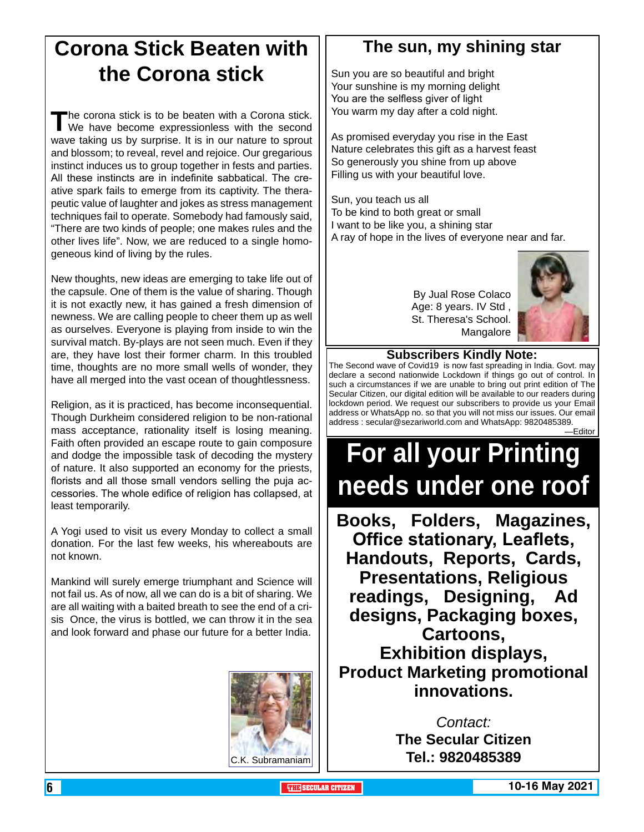## **Corona Stick Beaten with the Corona stick**

The corona stick is to be beaten with a Corona stick.<br>We have become expressionless with the second wave taking us by surprise. It is in our nature to sprout and blossom; to reveal, revel and rejoice. Our gregarious instinct induces us to group together in fests and parties. All these instincts are in indefinite sabbatical. The creative spark fails to emerge from its captivity. The therapeutic value of laughter and jokes as stress management techniques fail to operate. Somebody had famously said, "There are two kinds of people; one makes rules and the other lives life". Now, we are reduced to a single homogeneous kind of living by the rules.

New thoughts, new ideas are emerging to take life out of the capsule. One of them is the value of sharing. Though it is not exactly new, it has gained a fresh dimension of newness. We are calling people to cheer them up as well as ourselves. Everyone is playing from inside to win the survival match. By-plays are not seen much. Even if they are, they have lost their former charm. In this troubled time, thoughts are no more small wells of wonder, they have all merged into the vast ocean of thoughtlessness.

Religion, as it is practiced, has become inconsequential. Though Durkheim considered religion to be non-rational mass acceptance, rationality itself is losing meaning. Faith often provided an escape route to gain composure and dodge the impossible task of decoding the mystery of nature. It also supported an economy for the priests, florists and all those small vendors selling the puja accessories. The whole edifice of religion has collapsed, at least temporarily.

A Yogi used to visit us every Monday to collect a small donation. For the last few weeks, his whereabouts are not known.

Mankind will surely emerge triumphant and Science will not fail us. As of now, all we can do is a bit of sharing. We are all waiting with a baited breath to see the end of a crisis Once, the virus is bottled, we can throw it in the sea and look forward and phase our future for a better India.



## **The sun, my shining star**

Sun you are so beautiful and bright Your sunshine is my morning delight You are the selfless giver of light You warm my day after a cold night.

As promised everyday you rise in the East Nature celebrates this gift as a harvest feast So generously you shine from up above Filling us with your beautiful love.

Sun, you teach us all To be kind to both great or small I want to be like you, a shining star A ray of hope in the lives of everyone near and far.

> By Jual Rose Colaco Age: 8 years. IV Std , St. Theresa's School. Mangalore



### **Subscribers Kindly Note:**

The Second wave of Covid19 is now fast spreading in India. Govt. may declare a second nationwide Lockdown if things go out of control. In such a circumstances if we are unable to bring out print edition of The Secular Citizen, our digital edition will be available to our readers during lockdown period. We request our subscribers to provide us your Email address or WhatsApp no. so that you will not miss our issues. Our email address : secular@sezariworld.com and WhatsApp: 9820485389. —Editor

# **For all your Printing needs under one roof**

**Books, Folders, Magazines, Office stationary, Leaflets, Handouts, Reports, Cards, Presentations, Religious readings, Designing, Ad designs, Packaging boxes, Cartoons, Exhibition displays, Product Marketing promotional innovations.**

*Contact:* **The Secular Citizen** C.K. Subramaniam **Tel.: 9820485389**

**6 THE SECULAR CITIZEN 10-16 May 2021**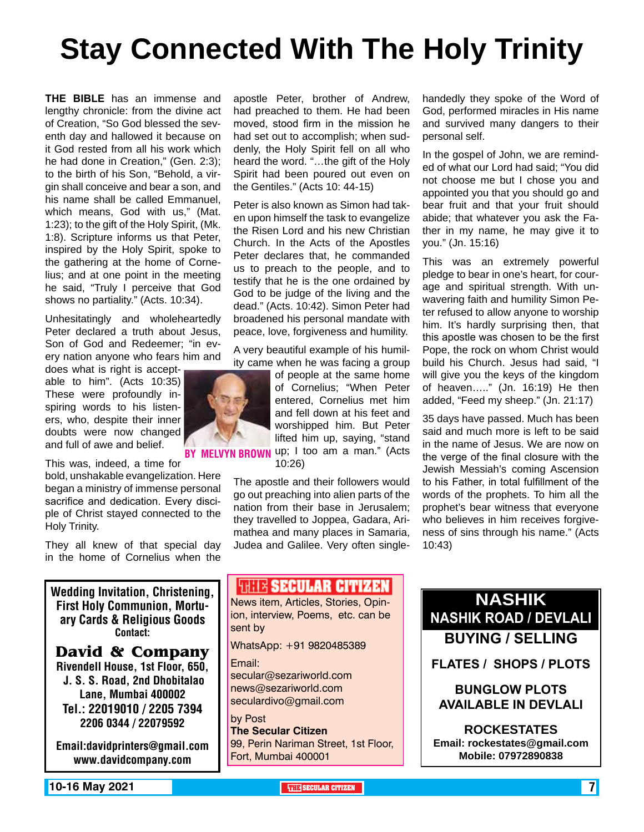# **Stay Connected With The Holy Trinity**

**THE BIBLE** has an immense and lengthy chronicle: from the divine act of Creation, "So God blessed the seventh day and hallowed it because on it God rested from all his work which he had done in Creation," (Gen. 2:3); to the birth of his Son, "Behold, a virgin shall conceive and bear a son, and his name shall be called Emmanuel, which means, God with us," (Mat. 1:23); to the gift of the Holy Spirit, (Mk. 1:8). Scripture informs us that Peter, inspired by the Holy Spirit, spoke to the gathering at the home of Cornelius; and at one point in the meeting he said, "Truly I perceive that God shows no partiality." (Acts. 10:34).

Unhesitatingly and wholeheartedly Peter declared a truth about Jesus. Son of God and Redeemer; "in every nation anyone who fears him and

does what is right is acceptable to him". (Acts 10:35) These were profoundly inspiring words to his listeners, who, despite their inner doubts were now changed and full of awe and belief.

This was, indeed, a time for bold, unshakable evangelization. Here began a ministry of immense personal sacrifice and dedication. Every disciple of Christ stayed connected to the Holy Trinity.

They all knew of that special day in the home of Cornelius when the

Wedding Invitation, Christening, First Holy Communion, Mortuary Cards & Religious Goods Contact:

#### **David & Company** Rivendell House, 1st Floor, 650,

 J. S. S. Road, 2nd Dhobitalao Lane, Mumbai 400002 Tel.: 22019010 / 2205 7394 2206 0344 / 22079592

Email:davidprinters@gmail.com www.davidcompany.com

apostle Peter, brother of Andrew, had preached to them. He had been moved, stood firm in the mission he had set out to accomplish; when suddenly, the Holy Spirit fell on all who heard the word. "…the gift of the Holy Spirit had been poured out even on the Gentiles." (Acts 10: 44-15)

Peter is also known as Simon had taken upon himself the task to evangelize the Risen Lord and his new Christian Church. In the Acts of the Apostles Peter declares that, he commanded us to preach to the people, and to testify that he is the one ordained by God to be judge of the living and the dead." (Acts. 10:42). Simon Peter had broadened his personal mandate with peace, love, forgiveness and humility.

A very beautiful example of his humility came when he was facing a group

of people at the same home of Cornelius; "When Peter entered, Cornelius met him and fell down at his feet and worshipped him. But Peter lifted him up, saying, "stand BY MELVYN BROWN up; I too am a man." (Acts

10:26)

The apostle and their followers would go out preaching into alien parts of the nation from their base in Jerusalem; they travelled to Joppea, Gadara, Arimathea and many places in Samaria, Judea and Galilee. Very often singlehandedly they spoke of the Word of God, performed miracles in His name and survived many dangers to their personal self.

In the gospel of John, we are reminded of what our Lord had said; "You did not choose me but I chose you and appointed you that you should go and bear fruit and that your fruit should abide; that whatever you ask the Father in my name, he may give it to you." (Jn. 15:16)

This was an extremely powerful pledge to bear in one's heart, for courage and spiritual strength. With unwavering faith and humility Simon Peter refused to allow anyone to worship him. It's hardly surprising then, that this apostle was chosen to be the first Pope, the rock on whom Christ would build his Church. Jesus had said, "I will give you the keys of the kingdom of heaven….." (Jn. 16:19) He then added, "Feed my sheep." (Jn. 21:17)

35 days have passed. Much has been said and much more is left to be said in the name of Jesus. We are now on the verge of the final closure with the Jewish Messiah's coming Ascension to his Father, in total fulfillment of the words of the prophets. To him all the prophet's bear witness that everyone who believes in him receives forgiveness of sins through his name." (Acts 10:43)

## **WEIR SECULAR CITIZEN**

News item, Articles, Stories, Opinion, interview, Poems, etc. can be sent by

WhatsApp: +91 9820485389

Email:

secular@sezariworld.com news@sezariworld.com seculardivo@gmail.com

by Post **The Secular Citizen** 99, Perin Nariman Street, 1st Floor, Fort, Mumbai 400001

**Nashik Nashik Road / Devlali Buying / Selling**

**Flates / Shops / Plots**

**Bunglow Plots Available in Devlali**

**Rockestates Email: rockestates@gmail.com Mobile: 07972890838**

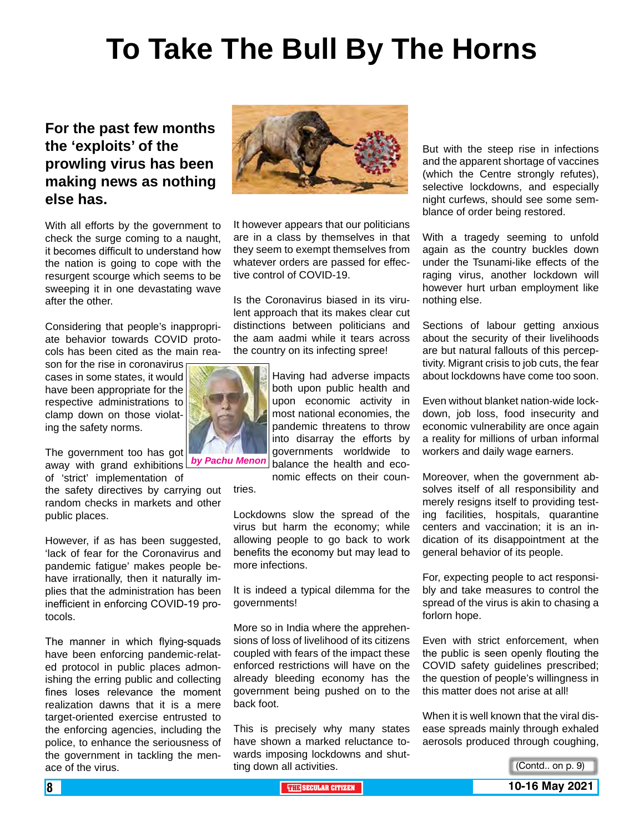# **To Take The Bull By The Horns**

## **For the past few months the 'exploits' of the prowling virus has been making news as nothing else has.**

With all efforts by the government to check the surge coming to a naught, it becomes difficult to understand how the nation is going to cope with the resurgent scourge which seems to be sweeping it in one devastating wave after the other.

Considering that people's inappropriate behavior towards COVID protocols has been cited as the main rea-

son for the rise in coronavirus cases in some states, it would have been appropriate for the respective administrations to clamp down on those violating the safety norms.

The government too has got away with grand exhibitions

of 'strict' implementation of the safety directives by carrying out random checks in markets and other public places. tries.

However, if as has been suggested, 'lack of fear for the Coronavirus and pandemic fatigue' makes people behave irrationally, then it naturally implies that the administration has been inefficient in enforcing COVID-19 protocols.

The manner in which flying-squads have been enforcing pandemic-related protocol in public places admonishing the erring public and collecting fines loses relevance the moment realization dawns that it is a mere target-oriented exercise entrusted to the enforcing agencies, including the police, to enhance the seriousness of the government in tackling the menace of the virus.



It however appears that our politicians are in a class by themselves in that they seem to exempt themselves from whatever orders are passed for effective control of COVID-19.

Is the Coronavirus biased in its virulent approach that its makes clear cut distinctions between politicians and the aam aadmi while it tears across the country on its infecting spree!



Having had adverse impacts both upon public health and upon economic activity in most national economies, the pandemic threatens to throw into disarray the efforts by governments worldwide to balance the health and eco-

nomic effects on their coun-

Lockdowns slow the spread of the virus but harm the economy; while allowing people to go back to work benefits the economy but may lead to more infections.

It is indeed a typical dilemma for the governments!

More so in India where the apprehensions of loss of livelihood of its citizens coupled with fears of the impact these enforced restrictions will have on the already bleeding economy has the government being pushed on to the back foot.

This is precisely why many states have shown a marked reluctance towards imposing lockdowns and shutting down all activities.

But with the steep rise in infections and the apparent shortage of vaccines (which the Centre strongly refutes), selective lockdowns, and especially night curfews, should see some semblance of order being restored.

With a tragedy seeming to unfold again as the country buckles down under the Tsunami-like effects of the raging virus, another lockdown will however hurt urban employment like nothing else.

Sections of labour getting anxious about the security of their livelihoods are but natural fallouts of this perceptivity. Migrant crisis to job cuts, the fear about lockdowns have come too soon.

Even without blanket nation-wide lockdown, job loss, food insecurity and economic vulnerability are once again a reality for millions of urban informal workers and daily wage earners.

Moreover, when the government absolves itself of all responsibility and merely resigns itself to providing testing facilities, hospitals, quarantine centers and vaccination; it is an indication of its disappointment at the general behavior of its people.

For, expecting people to act responsibly and take measures to control the spread of the virus is akin to chasing a forlorn hope.

Even with strict enforcement, when the public is seen openly flouting the COVID safety guidelines prescribed; the question of people's willingness in this matter does not arise at all!

When it is well known that the viral disease spreads mainly through exhaled aerosols produced through coughing,

(Contd.. on p. 9)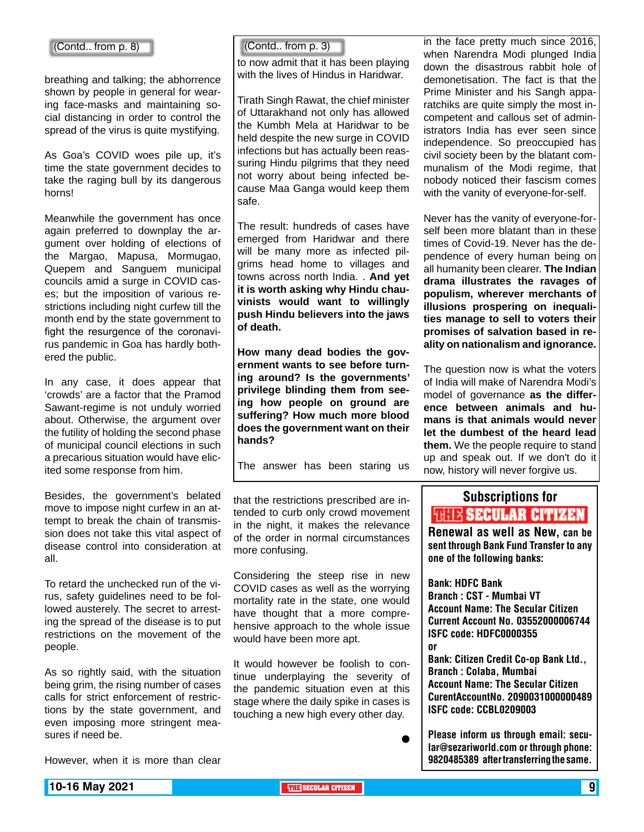breathing and talking; the abhorrence shown by people in general for wearing face-masks and maintaining social distancing in order to control the spread of the virus is quite mystifying.

As Goa's COVID woes pile up, it's time the state government decides to take the raging bull by its dangerous horns!

Meanwhile the government has once again preferred to downplay the argument over holding of elections of the Margao, Mapusa, Mormugao, Quepem and Sanguem municipal councils amid a surge in COVID cases; but the imposition of various restrictions including night curfew till the month end by the state government to fight the resurgence of the coronavirus pandemic in Goa has hardly bothered the public.

In any case, it does appear that 'crowds' are a factor that the Pramod Sawant-regime is not unduly worried about. Otherwise, the argument over the futility of holding the second phase of municipal council elections in such a precarious situation would have elicited some response from him.

Besides, the government's belated move to impose night curfew in an attempt to break the chain of transmission does not take this vital aspect of disease control into consideration at all.

To retard the unchecked run of the virus, safety guidelines need to be followed austerely. The secret to arresting the spread of the disease is to put restrictions on the movement of the people.

As so rightly said, with the situation being grim, the rising number of cases calls for strict enforcement of restrictions by the state government, and even imposing more stringent measures if need be.

 $\begin{bmatrix}$  (Contd.. from p. 8)  $\end{bmatrix}$   $\begin{bmatrix}$  (Contd.. from p. 3)

to now admit that it has been playing with the lives of Hindus in Haridwar.

Tirath Singh Rawat, the chief minister of Uttarakhand not only has allowed the Kumbh Mela at Haridwar to be held despite the new surge in COVID infections but has actually been reassuring Hindu pilgrims that they need not worry about being infected because Maa Ganga would keep them safe.

The result: hundreds of cases have emerged from Haridwar and there will be many more as infected pilgrims head home to villages and towns across north India. . **And yet it is worth asking why Hindu chauvinists would want to willingly push Hindu believers into the jaws of death.**

**How many dead bodies the government wants to see before turning around? Is the governments' privilege blinding them from seeing how people on ground are suffering? How much more blood does the government want on their hands?**

The answer has been staring us

that the restrictions prescribed are intended to curb only crowd movement in the night, it makes the relevance of the order in normal circumstances more confusing.

Considering the steep rise in new COVID cases as well as the worrying mortality rate in the state, one would have thought that a more comprehensive approach to the whole issue would have been more apt.

It would however be foolish to continue underplaying the severity of the pandemic situation even at this stage where the daily spike in cases is touching a new high every other day.

in the face pretty much since 2016, when Narendra Modi plunged India down the disastrous rabbit hole of demonetisation. The fact is that the Prime Minister and his Sangh apparatchiks are quite simply the most incompetent and callous set of administrators India has ever seen since independence. So preoccupied has civil society been by the blatant communalism of the Modi regime, that nobody noticed their fascism comes with the vanity of everyone-for-self.

Never has the vanity of everyone-forself been more blatant than in these times of Covid-19. Never has the dependence of every human being on all humanity been clearer. **The Indian drama illustrates the ravages of populism, wherever merchants of illusions prospering on inequalities manage to sell to voters their promises of salvation based in reality on nationalism and ignorance.**

The question now is what the voters of India will make of Narendra Modi's model of governance **as the difference between animals and humans is that animals would never let the dumbest of the heard lead them.** We the people require to stand up and speak out. If we don't do it now, history will never forgive us.

## Subscriptions for **RENEW SECULAR CITIZEN**<br>Renewal as well as New, can be

sent through Bank Fund Transfer to any one of the following banks:

Bank: HDFC Bank Branch : CST - Mumbai VT Account Name: The Secular Citizen Current Account No. 03552000006744 ISFC code: HDFC0000355 or

Bank: Citizen Credit Co-op Bank Ltd., Branch : Colaba, Mumbai Account Name: The Secular Citizen CurentAccountNo. 2090031000000489 ISFC code: CCBL0209003

Please inform us through email: secular@sezariworld.com or through phone: 9820485389 after transferring the same.

However, when it is more than clear

 $\bullet$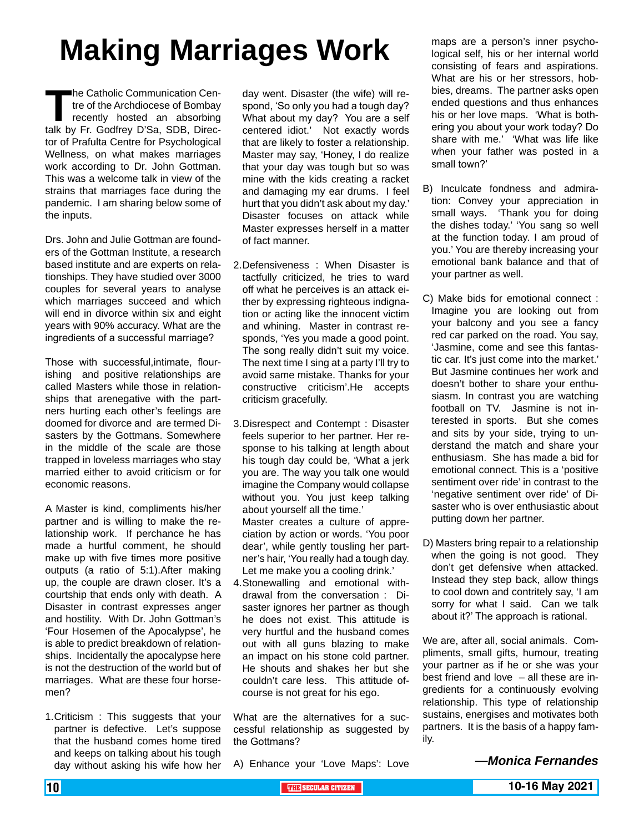# **Making Marriages Work**

The Catholic Communication Centre of the Archdiocese of Bombay<br>
recently hosted an absorbing<br>
talk by Fr. Godfrey D'Sa, SDB, Directre of the Archdiocese of Bombay recently hosted an absorbing tor of Prafulta Centre for Psychological Wellness, on what makes marriages work according to Dr. John Gottman. This was a welcome talk in view of the strains that marriages face during the pandemic. I am sharing below some of the inputs.

Drs. John and Julie Gottman are founders of the Gottman Institute, a research based institute and are experts on relationships. They have studied over 3000 couples for several years to analyse which marriages succeed and which will end in divorce within six and eight years with 90% accuracy. What are the ingredients of a successful marriage?

Those with successful,intimate, flourishing and positive relationships are called Masters while those in relationships that arenegative with the partners hurting each other's feelings are doomed for divorce and are termed Disasters by the Gottmans. Somewhere in the middle of the scale are those trapped in loveless marriages who stay married either to avoid criticism or for economic reasons.

A Master is kind, compliments his/her partner and is willing to make the relationship work. If perchance he has made a hurtful comment, he should make up with five times more positive outputs (a ratio of 5:1).After making up, the couple are drawn closer. It's a courtship that ends only with death. A Disaster in contrast expresses anger and hostility. With Dr. John Gottman's 'Four Hosemen of the Apocalypse', he is able to predict breakdown of relationships. Incidentally the apocalypse here is not the destruction of the world but of marriages. What are these four horsemen?

1.Criticism : This suggests that your partner is defective. Let's suppose that the husband comes home tired and keeps on talking about his tough day without asking his wife how her day went. Disaster (the wife) will respond, 'So only you had a tough day? What about my day? You are a self centered idiot.' Not exactly words that are likely to foster a relationship. Master may say, 'Honey, I do realize that your day was tough but so was mine with the kids creating a racket and damaging my ear drums. I feel hurt that you didn't ask about my day.' Disaster focuses on attack while Master expresses herself in a matter of fact manner.

- 2.Defensiveness : When Disaster is tactfully criticized, he tries to ward off what he perceives is an attack either by expressing righteous indignation or acting like the innocent victim and whining. Master in contrast responds, 'Yes you made a good point. The song really didn't suit my voice. The next time I sing at a party I'll try to avoid same mistake. Thanks for your constructive criticism'.He accepts criticism gracefully.
- 3.Disrespect and Contempt : Disaster feels superior to her partner. Her response to his talking at length about his tough day could be, 'What a jerk you are. The way you talk one would imagine the Company would collapse without you. You just keep talking about yourself all the time.' Master creates a culture of appreciation by action or words. 'You poor dear', while gently tousling her partner's hair, 'You really had a tough day. Let me make you a cooling drink.'
- 4.Stonewalling and emotional withdrawal from the conversation : Disaster ignores her partner as though he does not exist. This attitude is very hurtful and the husband comes out with all guns blazing to make an impact on his stone cold partner. He shouts and shakes her but she couldn't care less. This attitude ofcourse is not great for his ego.

What are the alternatives for a successful relationship as suggested by the Gottmans?

A) Enhance your 'Love Maps': Love

maps are a person's inner psychological self, his or her internal world consisting of fears and aspirations. What are his or her stressors, hobbies, dreams. The partner asks open ended questions and thus enhances his or her love maps. 'What is bothering you about your work today? Do share with me.' 'What was life like when your father was posted in a small town?'

- B) Inculcate fondness and admiration: Convey your appreciation in small ways. 'Thank you for doing the dishes today.' 'You sang so well at the function today. I am proud of you.' You are thereby increasing your emotional bank balance and that of your partner as well.
- C) Make bids for emotional connect : Imagine you are looking out from your balcony and you see a fancy red car parked on the road. You say, 'Jasmine, come and see this fantastic car. It's just come into the market.' But Jasmine continues her work and doesn't bother to share your enthusiasm. In contrast you are watching football on TV. Jasmine is not interested in sports. But she comes and sits by your side, trying to understand the match and share your enthusiasm. She has made a bid for emotional connect. This is a 'positive sentiment over ride' in contrast to the 'negative sentiment over ride' of Disaster who is over enthusiastic about putting down her partner.
- D) Masters bring repair to a relationship when the going is not good. They don't get defensive when attacked. Instead they step back, allow things to cool down and contritely say, 'I am sorry for what I said. Can we talk about it?' The approach is rational.

We are, after all, social animals. Compliments, small gifts, humour, treating your partner as if he or she was your best friend and love – all these are ingredients for a continuously evolving relationship. This type of relationship sustains, energises and motivates both partners. It is the basis of a happy family.

*—Monica Fernandes*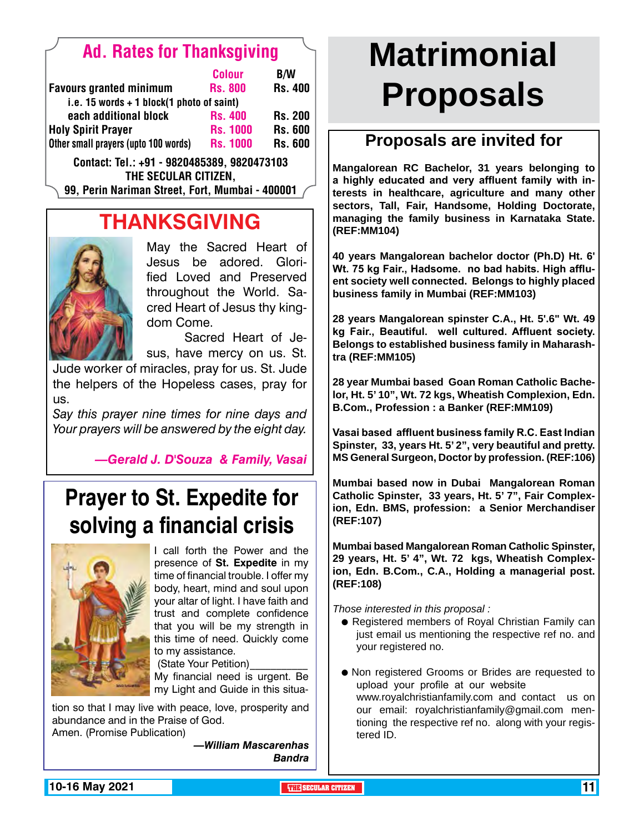## Ad. Rates for Thanksgiving

|                                             |                                      | <b>Colour</b>   | <b>B/W</b>     |
|---------------------------------------------|--------------------------------------|-----------------|----------------|
|                                             | <b>Favours granted minimum</b>       | <b>Rs. 800</b>  | <b>Rs. 400</b> |
| i.e. 15 words $+$ 1 block(1 photo of saint) |                                      |                 |                |
|                                             | each additional block                | <b>Rs. 400</b>  | <b>Rs. 200</b> |
|                                             | <b>Holy Spirit Prayer</b>            | <b>Rs. 1000</b> | <b>Rs. 600</b> |
|                                             | Other small prayers (upto 100 words) | <b>Rs. 1000</b> | <b>Rs. 600</b> |
|                                             |                                      |                 |                |

Contact: Tel.: +91 - 9820485389, 9820473103 The Secular Citizen,

99, Perin Nariman Street, Fort, Mumbai - 400001

## **THANKSGIVING**



May the Sacred Heart of Jesus be adored. Glorified Loved and Preserved throughout the World. Sacred Heart of Jesus thy kingdom Come.

Sacred Heart of Jesus, have mercy on us. St.

Jude worker of miracles, pray for us. St. Jude the helpers of the Hopeless cases, pray for us.

*Say this prayer nine times for nine days and Your prayers will be answered by the eight day.*

*—Gerald J. D'Souza & Family, Vasai*

## **Prayer to St. Expedite for solving a financial crisis**



I call forth the Power and the presence of **St. Expedite** in my time of financial trouble. I offer my body, heart, mind and soul upon your altar of light. I have faith and trust and complete confidence that you will be my strength in this time of need. Quickly come to my assistance.

(State Your Petition) My financial need is urgent. Be my Light and Guide in this situa-

tion so that I may live with peace, love, prosperity and abundance and in the Praise of God. Amen. (Promise Publication)

> *—William Mascarenhas Bandra*

# **Matrimonial Proposals**

## **Proposals are invited for**

**Mangalorean RC Bachelor, 31 years belonging to a highly educated and very affluent family with interests in healthcare, agriculture and many other sectors, Tall, Fair, Handsome, Holding Doctorate, managing the family business in Karnataka State. (REF:MM104)**

**40 years Mangalorean bachelor doctor (Ph.D) Ht. 6' Wt. 75 kg Fair., Hadsome. no bad habits. High affluent society well connected. Belongs to highly placed business family in Mumbai (REF:MM103)**

**28 years Mangalorean spinster C.A., Ht. 5'.6" Wt. 49 kg Fair., Beautiful. well cultured. Affluent society. Belongs to established business family in Maharashtra (REF:MM105)**

**28 year Mumbai based Goan Roman Catholic Bachelor, Ht. 5' 10", Wt. 72 kgs, Wheatish Complexion, Edn. B.Com., Profession : a Banker (REF:MM109)**

**Vasai based affluent business family R.C. East Indian Spinster, 33, years Ht. 5' 2", very beautiful and pretty. MS General Surgeon, Doctor by profession. (REF:106)**

**Mumbai based now in Dubai Mangalorean Roman Catholic Spinster, 33 years, Ht. 5' 7", Fair Complexion, Edn. BMS, profession: a Senior Merchandiser (REF:107)**

**Mumbai based Mangalorean Roman Catholic Spinster, 29 years, Ht. 5' 4", Wt. 72 kgs, Wheatish Complexion, Edn. B.Com., C.A., Holding a managerial post. (REF:108)** 

*Those interested in this proposal :*

- Registered members of Royal Christian Family can just email us mentioning the respective ref no. and your registered no.
- Non registered Grooms or Brides are requested to upload your profile at our website www.royalchristianfamily.com and contact us on our email: royalchristianfamily@gmail.com mentioning the respective ref no. along with your registered ID.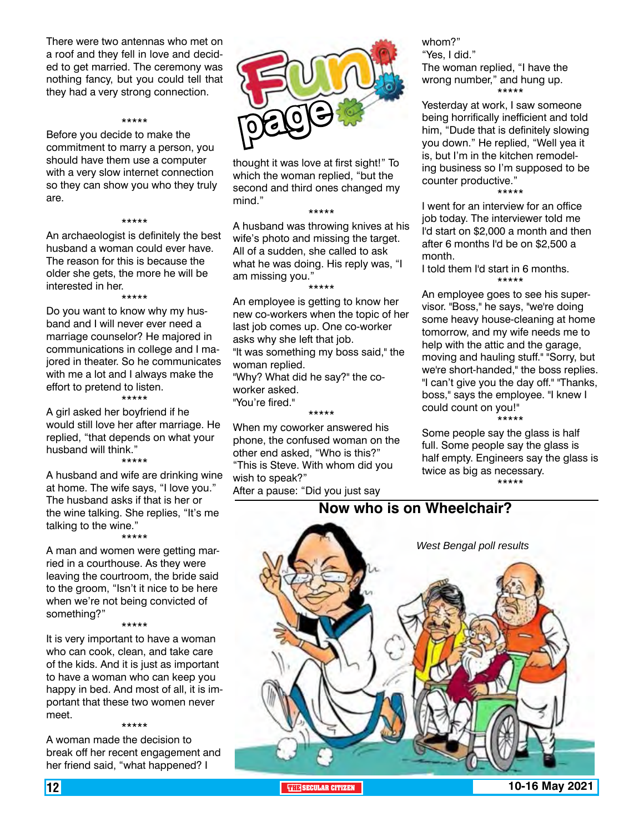There were two antennas who met on a roof and they fell in love and decided to get married. The ceremony was nothing fancy, but you could tell that they had a very strong connection.

#### \*\*\*\*\*

Before you decide to make the commitment to marry a person, you should have them use a computer with a very slow internet connection so they can show you who they truly are.

#### \*\*\*\*\*

An archaeologist is definitely the best husband a woman could ever have. The reason for this is because the older she gets, the more he will be interested in her.

\*\*\*\*\*

Do you want to know why my husband and I will never ever need a marriage counselor? He majored in communications in college and I majored in theater. So he communicates with me a lot and I always make the effort to pretend to listen. \*\*\*\*\*

A girl asked her boyfriend if he would still love her after marriage. He replied, "that depends on what your husband will think." \*\*\*\*\*

A husband and wife are drinking wine at home. The wife says, "I love you." The husband asks if that is her or the wine talking. She replies, "It's me talking to the wine."

\*\*\*\*\*

A man and women were getting married in a courthouse. As they were leaving the courtroom, the bride said to the groom, "Isn't it nice to be here when we're not being convicted of something?"

\*\*\*\*\*

It is very important to have a woman who can cook, clean, and take care of the kids. And it is just as important to have a woman who can keep you happy in bed. And most of all, it is important that these two women never meet. \*\*\*\*\*

A woman made the decision to break off her recent engagement and her friend said, "what happened? I



thought it was love at first sight!" To which the woman replied, "but the second and third ones changed my mind."

\*\*\*\*\*

A husband was throwing knives at his wife's photo and missing the target. All of a sudden, she called to ask what he was doing. His reply was, "I am missing you."

\*\*\*\*\* An employee is getting to know her new co-workers when the topic of her last job comes up. One co-worker asks why she left that job. "It was something my boss said," the

woman replied. "Why? What did he say?" the coworker asked.

"You're fired."

\*\*\*\*\*

When my coworker answered his phone, the confused woman on the other end asked, "Who is this?" "This is Steve. With whom did you wish to speak?"

After a pause: "Did you just say

whom?" "Yes, I did." The woman replied, "I have the wrong number," and hung up. \*\*\*\*\*

Yesterday at work, I saw someone being horrifically inefficient and told him, "Dude that is definitely slowing you down." He replied, "Well yea it is, but I'm in the kitchen remodeling business so I'm supposed to be counter productive."

\*\*\*\*\*

I went for an interview for an office job today. The interviewer told me I'd start on \$2,000 a month and then after 6 months I'd be on \$2,500 a month.

I told them I'd start in 6 months. \*\*\*\*\*

An employee goes to see his supervisor. "Boss," he says, "we're doing some heavy house-cleaning at home tomorrow, and my wife needs me to help with the attic and the garage, moving and hauling stuff." "Sorry, but we're short-handed," the boss replies. "I can't give you the day off." "Thanks, boss," says the employee. "I knew I could count on you!" \*\*\*\*\*

Some people say the glass is half full. Some people say the glass is half empty. Engineers say the glass is twice as big as necessary. \*\*\*\*\*

## **Now who is on Wheelchair?**

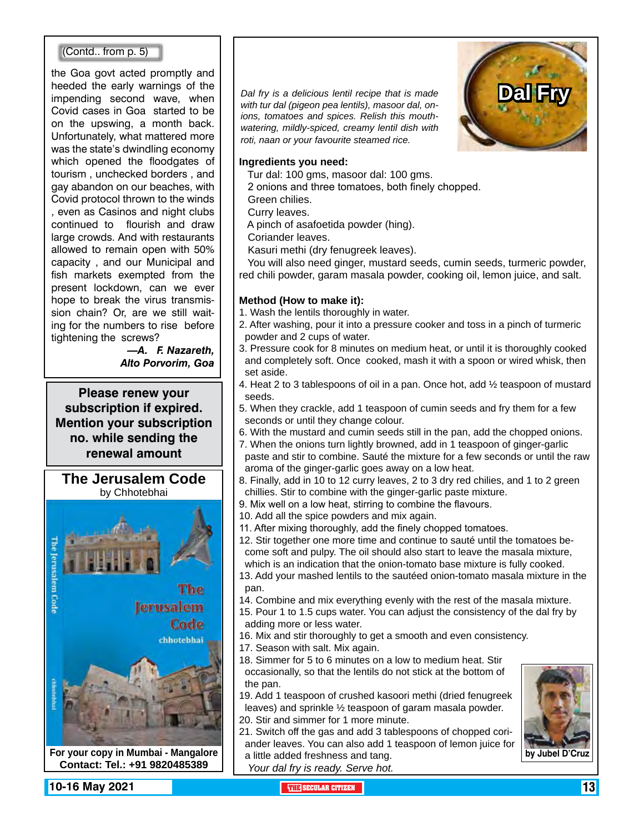#### (Contd.. from p. 5)

the Goa govt acted promptly and heeded the early warnings of the impending second wave, when Covid cases in Goa started to be on the upswing, a month back. Unfortunately, what mattered more was the state's dwindling economy which opened the floodgates of tourism , unchecked borders , and gay abandon on our beaches, with Covid protocol thrown to the winds , even as Casinos and night clubs continued to flourish and draw large crowds. And with restaurants allowed to remain open with 50% capacity , and our Municipal and fish markets exempted from the present lockdown, can we ever hope to break the virus transmission chain? Or, are we still waiting for the numbers to rise before tightening the screws?

> *—A. F. Nazareth, Alto Porvorim, Goa*

**Please renew your subscription if expired. Mention your subscription no. while sending the renewal amount**

**The Jerusalem Code** by Chhotebhai



**Contact: Tel.: +91 9820485389**

*Dal fry is a delicious lentil recipe that is made with tur dal (pigeon pea lentils), masoor dal, onions, tomatoes and spices. Relish this mouthwatering, mildly-spiced, creamy lentil dish with roti, naan or your favourite steamed rice.*



#### **Ingredients you need:**

Tur dal: 100 gms, masoor dal: 100 gms.

2 onions and three tomatoes, both finely chopped.

Green chilies.

Curry leaves.

A pinch of asafoetida powder (hing).

Coriander leaves.

Kasuri methi (dry fenugreek leaves).

 You will also need ginger, mustard seeds, cumin seeds, turmeric powder, red chili powder, garam masala powder, cooking oil, lemon juice, and salt.

#### **Method (How to make it):**

- 1. Wash the lentils thoroughly in water.
- 2. After washing, pour it into a pressure cooker and toss in a pinch of turmeric powder and 2 cups of water.
- 3. Pressure cook for 8 minutes on medium heat, or until it is thoroughly cooked and completely soft. Once cooked, mash it with a spoon or wired whisk, then set aside.
- 4. Heat 2 to 3 tablespoons of oil in a pan. Once hot, add ½ teaspoon of mustard seeds.
- 5. When they crackle, add 1 teaspoon of cumin seeds and fry them for a few seconds or until they change colour.
- 6. With the mustard and cumin seeds still in the pan, add the chopped onions.
- 7. When the onions turn lightly browned, add in 1 teaspoon of ginger-garlic
- paste and stir to combine. Sauté the mixture for a few seconds or until the raw aroma of the ginger-garlic goes away on a low heat.
- 8. Finally, add in 10 to 12 curry leaves, 2 to 3 dry red chilies, and 1 to 2 green chillies. Stir to combine with the ginger-garlic paste mixture.
- 9. Mix well on a low heat, stirring to combine the flavours.
- 10. Add all the spice powders and mix again.
- 11. After mixing thoroughly, add the finely chopped tomatoes.
- 12. Stir together one more time and continue to sauté until the tomatoes become soft and pulpy. The oil should also start to leave the masala mixture, which is an indication that the onion-tomato base mixture is fully cooked.
- 13. Add your mashed lentils to the sautéed onion-tomato masala mixture in the pan.
- 14. Combine and mix everything evenly with the rest of the masala mixture.
- 15. Pour 1 to 1.5 cups water. You can adjust the consistency of the dal fry by adding more or less water.
- 16. Mix and stir thoroughly to get a smooth and even consistency.
- 17. Season with salt. Mix again.
- 18. Simmer for 5 to 6 minutes on a low to medium heat. Stir occasionally, so that the lentils do not stick at the bottom of the pan.
- 19. Add 1 teaspoon of crushed kasoori methi (dried fenugreek leaves) and sprinkle ½ teaspoon of garam masala powder.
- 20. Stir and simmer for 1 more minute.
- 21. Switch off the gas and add 3 tablespoons of chopped coriander leaves. You can also add 1 teaspoon of lemon juice for a little added freshness and tang.
	- *Your dal fry is ready. Serve hot.*

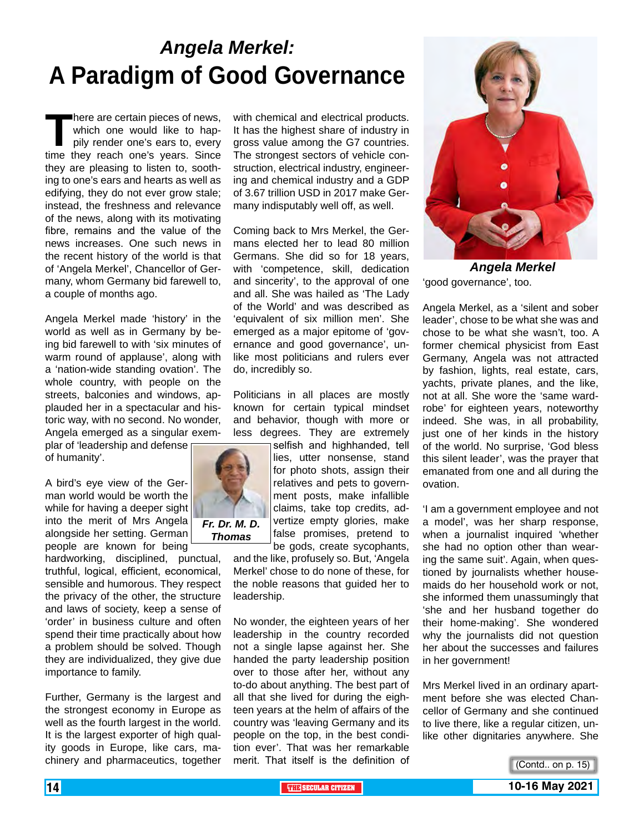## *Angela Merkel:* **A Paradigm of Good Governance**

There are certain pieces of news,<br>
which one would like to hap-<br>
pily render one's ears to, every<br>
time they reach one's years. Since which one would like to happily render one's ears to, every they are pleasing to listen to, soothing to one's ears and hearts as well as edifying, they do not ever grow stale; instead, the freshness and relevance of the news, along with its motivating fibre, remains and the value of the news increases. One such news in the recent history of the world is that of 'Angela Merkel', Chancellor of Germany, whom Germany bid farewell to, a couple of months ago.

Angela Merkel made 'history' in the world as well as in Germany by being bid farewell to with 'six minutes of warm round of applause', along with a 'nation-wide standing ovation'. The whole country, with people on the streets, balconies and windows, applauded her in a spectacular and historic way, with no second. No wonder, Angela emerged as a singular exem-

plar of 'leadership and defense of humanity'.

A bird's eye view of the German world would be worth the while for having a deeper sight into the merit of Mrs Angela alongside her setting. German people are known for being

hardworking, disciplined, punctual, truthful, logical, efficient, economical, sensible and humorous. They respect the privacy of the other, the structure and laws of society, keep a sense of 'order' in business culture and often spend their time practically about how a problem should be solved. Though they are individualized, they give due importance to family.

Further, Germany is the largest and the strongest economy in Europe as well as the fourth largest in the world. It is the largest exporter of high quality goods in Europe, like cars, machinery and pharmaceutics, together

with chemical and electrical products. It has the highest share of industry in gross value among the G7 countries. The strongest sectors of vehicle construction, electrical industry, engineering and chemical industry and a GDP of 3.67 trillion USD in 2017 make Germany indisputably well off, as well.

Coming back to Mrs Merkel, the Germans elected her to lead 80 million Germans. She did so for 18 years, with 'competence, skill, dedication and sincerity', to the approval of one and all. She was hailed as 'The Lady of the World' and was described as 'equivalent of six million men'. She emerged as a major epitome of 'governance and good governance', unlike most politicians and rulers ever do, incredibly so.

Politicians in all places are mostly known for certain typical mindset and behavior, though with more or less degrees. They are extremely

> selfish and highhanded, tell lies, utter nonsense, stand for photo shots, assign their relatives and pets to government posts, make infallible claims, take top credits, advertize empty glories, make false promises, pretend to

be gods, create sycophants, and the like, profusely so. But, 'Angela Merkel' chose to do none of these, for the noble reasons that guided her to leadership.

No wonder, the eighteen years of her leadership in the country recorded not a single lapse against her. She handed the party leadership position over to those after her, without any to-do about anything. The best part of all that she lived for during the eighteen years at the helm of affairs of the country was 'leaving Germany and its people on the top, in the best condition ever'. That was her remarkable merit. That itself is the definition of



'good governance', too. *Angela Merkel*

Angela Merkel, as a 'silent and sober leader', chose to be what she was and chose to be what she wasn't, too. A former chemical physicist from East Germany, Angela was not attracted by fashion, lights, real estate, cars, yachts, private planes, and the like, not at all. She wore the 'same wardrobe' for eighteen years, noteworthy indeed. She was, in all probability, just one of her kinds in the history of the world. No surprise, 'God bless this silent leader', was the prayer that emanated from one and all during the ovation.

'I am a government employee and not a model', was her sharp response, when a journalist inquired 'whether she had no option other than wearing the same suit'. Again, when questioned by journalists whether housemaids do her household work or not, she informed them unassumingly that 'she and her husband together do their home-making'. She wondered why the journalists did not question her about the successes and failures in her government!

Mrs Merkel lived in an ordinary apartment before she was elected Chancellor of Germany and she continued to live there, like a regular citizen, unlike other dignitaries anywhere. She





*Fr. Dr. M. D. Thomas*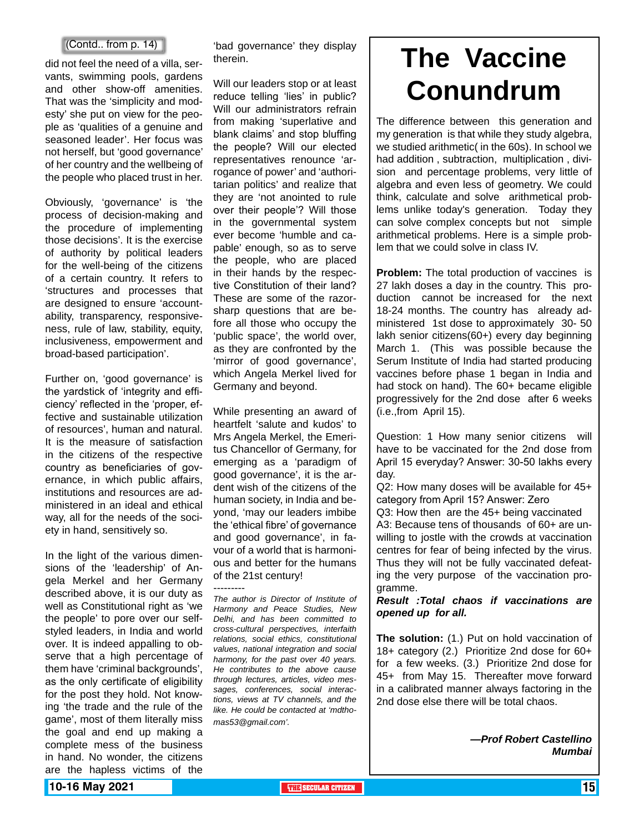did not feel the need of a villa, servants, swimming pools, gardens and other show-off amenities. That was the 'simplicity and modesty' she put on view for the people as 'qualities of a genuine and seasoned leader'. Her focus was not herself, but 'good governance' of her country and the wellbeing of the people who placed trust in her.

Obviously, 'governance' is 'the process of decision-making and the procedure of implementing those decisions'. It is the exercise of authority by political leaders for the well-being of the citizens of a certain country. It refers to 'structures and processes that are designed to ensure 'accountability, transparency, responsiveness, rule of law, stability, equity, inclusiveness, empowerment and broad-based participation'.

Further on, 'good governance' is the yardstick of 'integrity and efficiency' reflected in the 'proper, effective and sustainable utilization of resources', human and natural. It is the measure of satisfaction in the citizens of the respective country as beneficiaries of governance, in which public affairs, institutions and resources are administered in an ideal and ethical way, all for the needs of the society in hand, sensitively so.

In the light of the various dimensions of the 'leadership' of Angela Merkel and her Germany described above, it is our duty as well as Constitutional right as 'we the people' to pore over our selfstyled leaders, in India and world over. It is indeed appalling to observe that a high percentage of them have 'criminal backgrounds', as the only certificate of eligibility for the post they hold. Not knowing 'the trade and the rule of the game', most of them literally miss the goal and end up making a complete mess of the business in hand. No wonder, the citizens are the hapless victims of the

'bad governance' they display therein.

Will our leaders stop or at least reduce telling 'lies' in public? Will our administrators refrain from making 'superlative and blank claims' and stop bluffing the people? Will our elected representatives renounce 'arrogance of power' and 'authoritarian politics' and realize that they are 'not anointed to rule over their people'? Will those in the governmental system ever become 'humble and capable' enough, so as to serve the people, who are placed in their hands by the respective Constitution of their land? These are some of the razorsharp questions that are before all those who occupy the 'public space', the world over, as they are confronted by the 'mirror of good governance', which Angela Merkel lived for Germany and beyond.

While presenting an award of heartfelt 'salute and kudos' to Mrs Angela Merkel, the Emeritus Chancellor of Germany, for emerging as a 'paradigm of good governance', it is the ardent wish of the citizens of the human society, in India and beyond, 'may our leaders imbibe the 'ethical fibre' of governance and good governance', in favour of a world that is harmonious and better for the humans of the 21st century!

--------- *The author is Director of Institute of Harmony and Peace Studies, New Delhi, and has been committed to cross-cultural perspectives, interfaith relations, social ethics, constitutional values, national integration and social harmony, for the past over 40 years. He contributes to the above cause through lectures, articles, video messages, conferences, social interactions, views at TV channels, and the like. He could be contacted at 'mdthomas53@gmail.com'.* 

# $\left\{\mathsf{Contd.}\ \mathsf{from}\ \mathsf{p.}\ 14\right\}$  thed governance' they display **The Vaccine (Sectified ) Conundrum**

The difference between this generation and my generation is that while they study algebra, we studied arithmetic( in the 60s). In school we had addition , subtraction, multiplication , division and percentage problems, very little of algebra and even less of geometry. We could think, calculate and solve arithmetical problems unlike today's generation. Today they can solve complex concepts but not simple arithmetical problems. Here is a simple problem that we could solve in class IV.

**Problem:** The total production of vaccines is 27 lakh doses a day in the country. This production cannot be increased for the next 18-24 months. The country has already administered 1st dose to approximately 30- 50 lakh senior citizens(60+) every day beginning March 1. (This was possible because the Serum Institute of India had started producing vaccines before phase 1 began in India and had stock on hand). The 60+ became eligible progressively for the 2nd dose after 6 weeks (i.e.,from April 15).

Question: 1 How many senior citizens will have to be vaccinated for the 2nd dose from April 15 everyday? Answer: 30-50 lakhs every day.

Q2: How many doses will be available for 45+ category from April 15? Answer: Zero

Q3: How then are the 45+ being vaccinated A3: Because tens of thousands of 60+ are unwilling to jostle with the crowds at vaccination centres for fear of being infected by the virus. Thus they will not be fully vaccinated defeating the very purpose of the vaccination programme.

*Result :Total chaos if vaccinations are opened up for all.*

**The solution:** (1.) Put on hold vaccination of 18+ category (2.) Prioritize 2nd dose for 60+ for a few weeks. (3.) Prioritize 2nd dose for 45+ from May 15. Thereafter move forward in a calibrated manner always factoring in the 2nd dose else there will be total chaos.

> *—Prof Robert Castellino Mumbai*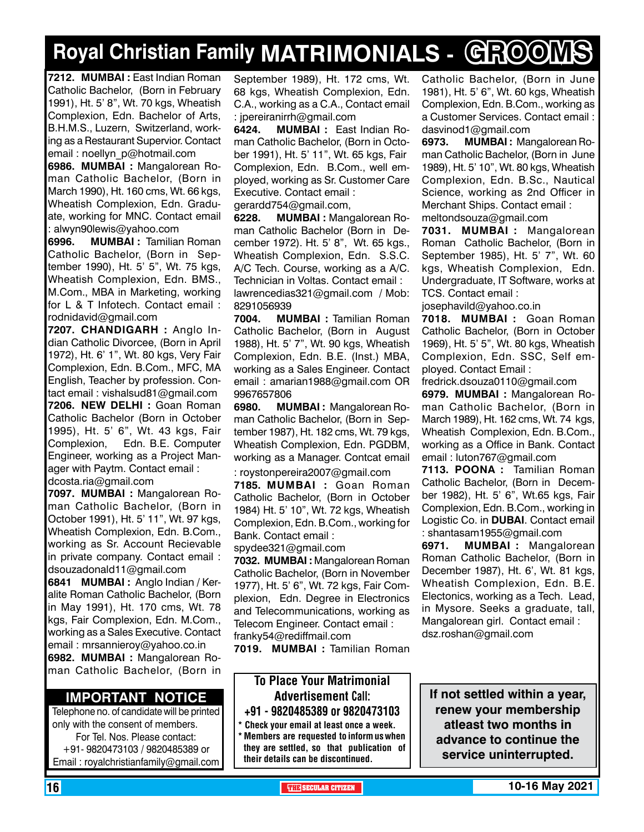# **Royal Christian Family MATRIMONIALS - GROOMS**

**7212. MUMBAI :** East Indian Roman Catholic Bachelor, (Born in February 1991), Ht. 5' 8", Wt. 70 kgs, Wheatish Complexion, Edn. Bachelor of Arts, B.H.M.S., Luzern, Switzerland, working as a Restaurant Supervior. Contact email : noellyn\_p@hotmail.com

**6986. MUMBAI :** Mangalorean Roman Catholic Bachelor, (Born in March 1990), Ht. 160 cms, Wt. 66 kgs, Wheatish Complexion, Edn. Graduate, working for MNC. Contact email : alwyn90lewis@yahoo.com

**6996. MUMBAI :** Tamilian Roman Catholic Bachelor, (Born in September 1990), Ht. 5' 5", Wt. 75 kgs, Wheatish Complexion, Edn. BMS., M.Com., MBA in Marketing, working for L & T Infotech. Contact email : rodnidavid@gmail.com

**7207. Chandigarh :** Anglo Indian Catholic Divorcee, (Born in April 1972), Ht. 6' 1", Wt. 80 kgs, Very Fair Complexion, Edn. B.Com., MFC, MA English, Teacher by profession. Contact email : vishalsud81@gmail.com **7206. new delhi :** Goan Roman Catholic Bachelor (Born in October 1995), Ht. 5' 6", Wt. 43 kgs, Fair Complexion, Edn. B.E. Computer Engineer, working as a Project Manager with Paytm. Contact email : dcosta.ria@gmail.com

**7097. MUMBAI :** Mangalorean Roman Catholic Bachelor, (Born in October 1991), Ht. 5' 11", Wt. 97 kgs, Wheatish Complexion, Edn. B.Com., working as Sr. Account Recievable in private company. Contact email : dsouzadonald11@gmail.com

**6841 MuMBAI :** Anglo Indian / Keralite Roman Catholic Bachelor, (Born in May 1991), Ht. 170 cms, Wt. 78 kgs, Fair Complexion, Edn. M.Com., working as a Sales Executive. Contact email : mrsannieroy@yahoo.co.in **6982. MUMBAI :** Mangalorean Ro-

man Catholic Bachelor, (Born in

#### **Important Notice**

Telephone no. of candidate will be printed only with the consent of members. For Tel. Nos. Please contact: +91- 9820473103 / 9820485389 or Email : royalchristianfamily@gmail.com

September 1989), Ht. 172 cms, Wt. 68 kgs, Wheatish Complexion, Edn. C.A., working as a C.A., Contact email : jpereiranirrh@gmail.com

**6424. MUMBAI :** East Indian Roman Catholic Bachelor, (Born in October 1991), Ht. 5' 11", Wt. 65 kgs, Fair Complexion, Edn. B.Com., well employed, working as Sr. Customer Care Executive. Contact email :

gerardd754@gmail.com,

**6228. MUMBAI :** Mangalorean Roman Catholic Bachelor (Born in December 1972). Ht. 5' 8", Wt. 65 kgs., Wheatish Complexion, Edn. S.S.C. A/C Tech. Course, working as a A/C. Technician in Voltas. Contact email : lawrencedias321@gmail.com / Mob: 8291056939

**7004. MUMBAI :** Tamilian Roman Catholic Bachelor, (Born in August 1988), Ht. 5' 7", Wt. 90 kgs, Wheatish Complexion, Edn. B.E. (Inst.) MBA, working as a Sales Engineer. Contact email : amarian1988@gmail.com OR 9967657806

**6980. MUMBAI :** Mangalorean Roman Catholic Bachelor, (Born in September 1987), Ht. 182 cms, Wt. 79 kgs, Wheatish Complexion, Edn. PGDBM, working as a Manager. Contcat email : roystonpereira2007@gmail.com

**7185. MUMBAI :** Goan Roman Catholic Bachelor, (Born in October 1984) Ht. 5' 10", Wt. 72 kgs, Wheatish Complexion, Edn. B.Com., working for Bank. Contact email :

spydee321@gmail.com

**7032. MUMBAI :** Mangalorean Roman Catholic Bachelor, (Born in November 1977), Ht. 5' 6", Wt. 72 kgs, Fair Complexion, Edn. Degree in Electronics and Telecommunications, working as Telecom Engineer. Contact email : franky54@rediffmail.com

**7019. MUMBAI :** Tamilian Roman

## To Place Your Matrimonial Advertisement Call:

+91 - 9820485389 or 9820473103 \* Check your email at least once a week.

\* Members are requested to inform us when they are settled, so that publication of their details can be discontinued.

Catholic Bachelor, (Born in June 1981), Ht. 5' 6", Wt. 60 kgs, Wheatish Complexion, Edn. B.Com., working as a Customer Services. Contact email : dasvinod1@gmail.com

**6973. MUMBAI :** Mangalorean Roman Catholic Bachelor, (Born in June 1989), Ht. 5' 10", Wt. 80 kgs, Wheatish Complexion, Edn. B.Sc., Nautical Science, working as 2nd Officer in Merchant Ships. Contact email : meltondsouza@gmail.com

**7031. MUMBAI :** Mangalorean Roman Catholic Bachelor, (Born in September 1985), Ht. 5' 7", Wt. 60 kgs, Wheatish Complexion, Edn. Undergraduate, IT Software, works at TCS. Contact email :

josephavild@yahoo.co.in

**7018. MUMBAI :** Goan Roman Catholic Bachelor, (Born in October 1969), Ht. 5' 5", Wt. 80 kgs, Wheatish Complexion, Edn. SSC, Self employed. Contact Email :

fredrick.dsouza0110@gmail.com **6979. MUMBAI :** Mangalorean Roman Catholic Bachelor, (Born in March 1989), Ht. 162 cms, Wt. 74 kgs, Wheatish Complexion, Edn. B.Com., working as a Office in Bank. Contact email : luton767@gmail.com

**7113. POONA :** Tamilian Roman Catholic Bachelor, (Born in December 1982), Ht. 5' 6", Wt.65 kgs, Fair Complexion, Edn. B.Com., working in Logistic Co. in **DUBAI**. Contact email : shantasam1955@gmail.com

**6971. MUMBAI :** Mangalorean Roman Catholic Bachelor, (Born in December 1987), Ht. 6', Wt. 81 kgs, Wheatish Complexion, Edn. B.E. Electonics, working as a Tech. Lead, in Mysore. Seeks a graduate, tall, Mangalorean girl. Contact email : dsz.roshan@gmail.com

**If not settled within a year, renew your membership atleast two months in advance to continue the service uninterrupted.**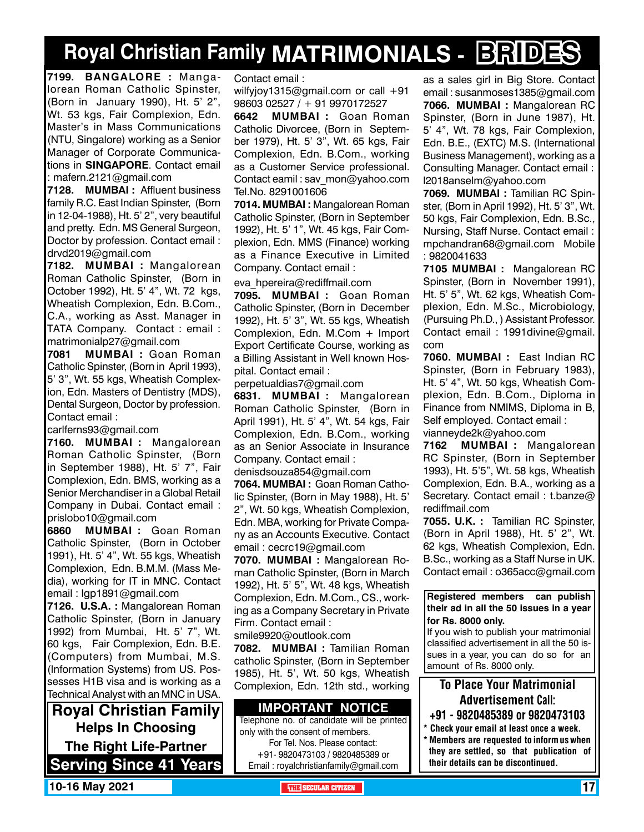## **Royal Christian Family MATRIMONIALS - BRIDES**

**7199. BANGALORE :** Mangalorean Roman Catholic Spinster, (Born in January 1990), Ht. 5' 2", Wt. 53 kgs, Fair Complexion, Edn. Master's in Mass Communications (NTU, Singalore) working as a Senior Manager of Corporate Communications in **SINGAPORE**. Contact email : mafern.2121@gmail.com

**7128. MUMBAI :** Affluent business family R.C. East Indian Spinster, (Born in 12-04-1988), Ht. 5' 2", very beautiful and pretty. Edn. MS General Surgeon, Doctor by profession. Contact email : drvd2019@gmail.com

**7182. MUMBAI :** Mangalorean Roman Catholic Spinster, (Born in October 1992), Ht. 5' 4", Wt. 72 kgs, Wheatish Complexion, Edn. B.Com., C.A., working as Asst. Manager in TATA Company. Contact : email : matrimonialp27@gmail.com

**7081 MUMBAI :** Goan Roman Catholic Spinster, (Born in April 1993), 5' 3", Wt. 55 kgs, Wheatish Complexion, Edn. Masters of Dentistry (MDS), Dental Surgeon, Doctor by profession. Contact email :

carlferns93@gmail.com

**7160. MUMBAI :** Mangalorean Roman Catholic Spinster, (Born in September 1988), Ht. 5' 7", Fair Complexion, Edn. BMS, working as a Senior Merchandiser in a Global Retail Company in Dubai. Contact email : prislobo10@gmail.com

**6860 MUMBAI :** Goan Roman Catholic Spinster, (Born in October 1991), Ht. 5' 4", Wt. 55 kgs, Wheatish Complexion, Edn. B.M.M. (Mass Media), working for IT in MNC. Contact email : lgp1891@gmail.com

**7126. U.S.A. :** Mangalorean Roman Catholic Spinster, (Born in January 1992) from Mumbai, Ht. 5' 7", Wt. 60 kgs, Fair Complexion, Edn. B.E. (Computers) from Mumbai, M.S. (Information Systems) from US. Possesses H1B visa and is working as a Technical Analyst with an MNC in USA.

**Royal Christian Family Helps In Choosing The Right Life-Partner Serving Since 41 Years** Contact email :

wilfyjoy1315@gmail.com or call +91 98603 02527 / + 91 9970172527

**6642 MUMBAI :** Goan Roman Catholic Divorcee, (Born in September 1979), Ht. 5' 3", Wt. 65 kgs, Fair Complexion, Edn. B.Com., working as a Customer Service professional. Contact eamil : sav\_mon@yahoo.com Tel.No. 8291001606

**7014. MUMBAI :** Mangalorean Roman Catholic Spinster, (Born in September 1992), Ht. 5' 1", Wt. 45 kgs, Fair Complexion, Edn. MMS (Finance) working as a Finance Executive in Limited Company. Contact email :

eva\_hpereira@rediffmail.com

**7095. MUMBAI :** Goan Roman Catholic Spinster, (Born in December 1992), Ht. 5' 3", Wt. 55 kgs, Wheatish Complexion, Edn. M.Com + Import Export Certificate Course, working as a Billing Assistant in Well known Hospital. Contact email :

perpetualdias7@gmail.com

**6831. MUMBAI :** Mangalorean Roman Catholic Spinster, (Born in April 1991), Ht. 5' 4", Wt. 54 kgs, Fair Complexion, Edn. B.Com., working as an Senior Associate in Insurance Company. Contact email :

denisdsouza854@gmail.com

**7064. MUMBAI :** Goan Roman Catholic Spinster, (Born in May 1988), Ht. 5' 2", Wt. 50 kgs, Wheatish Complexion, Edn. MBA, working for Private Company as an Accounts Executive. Contact email : cecrc19@gmail.com

**7070. MUMBAI :** Mangalorean Roman Catholic Spinster, (Born in March 1992), Ht. 5' 5", Wt. 48 kgs, Wheatish Complexion, Edn. M.Com., CS., working as a Company Secretary in Private Firm. Contact email :

smile9920@outlook.com

**7082. MUMBAI :** Tamilian Roman catholic Spinster, (Born in September 1985), Ht. 5', Wt. 50 kgs, Wheatish Complexion, Edn. 12th std., working

#### **Important Notice**

Telephone no. of candidate will be printed only with the consent of members. For Tel. Nos. Please contact: +91- 9820473103 / 9820485389 or Email : royalchristianfamily@gmail.com

as a sales girl in Big Store. Contact email : susanmoses1385@gmail.com **7066. MUMBAI :** Mangalorean RC Spinster, (Born in June 1987), Ht. 5' 4", Wt. 78 kgs, Fair Complexion, Edn. B.E., (EXTC) M.S. (International Business Management), working as a Consulting Manager. Contact email : l2018anselm@yahoo.com

**7069. MUMBAI :** Tamilian RC Spinster, (Born in April 1992), Ht. 5' 3", Wt. 50 kgs, Fair Complexion, Edn. B.Sc., Nursing, Staff Nurse. Contact email : mpchandran68@gmail.com Mobile : 9820041633

**7105 MUMBAI :** Mangalorean RC Spinster, (Born in November 1991), Ht. 5' 5", Wt. 62 kgs, Wheatish Complexion, Edn. M.Sc., Microbiology, (Pursuing Ph.D., ) Assistant Professor. Contact email : 1991divine@gmail. com

**7060. MUMBAI :** East Indian RC Spinster, (Born in February 1983), Ht. 5' 4", Wt. 50 kgs, Wheatish Complexion, Edn. B.Com., Diploma in Finance from NMIMS, Diploma in B, Self employed. Contact email : vianneyde2k@yahoo.com

**7162 MUMBAI :** Mangalorean RC Spinster, (Born in September 1993), Ht. 5'5", Wt. 58 kgs, Wheatish Complexion, Edn. B.A., working as a Secretary. Contact email: t.banze@ rediffmail.com

**7055. U.K. :** Tamilian RC Spinster, (Born in April 1988), Ht. 5' 2", Wt. 62 kgs, Wheatish Complexion, Edn. B.Sc., working as a Staff Nurse in UK. Contact email : o365acc@gmail.com

**Registered members can publish their ad in all the 50 issues in a year for Rs. 8000 only.**

If you wish to publish your matrimonial classified advertisement in all the 50 issues in a year, you can do so for an amount of Rs. 8000 only.

### To Place Your Matrimonial Advertisement Call:

- +91 9820485389 or 9820473103
- \* Check your email at least once a week. \* Members are requested to inform us when they are settled, so that publication of their details can be discontinued.

**10-16 May 2021 <b>The City of the SECULAR CITIZEN** 17 And 2012 **The SECULAR CITIZEN** 17 AND 2021 **The SECULAR CITIZEN**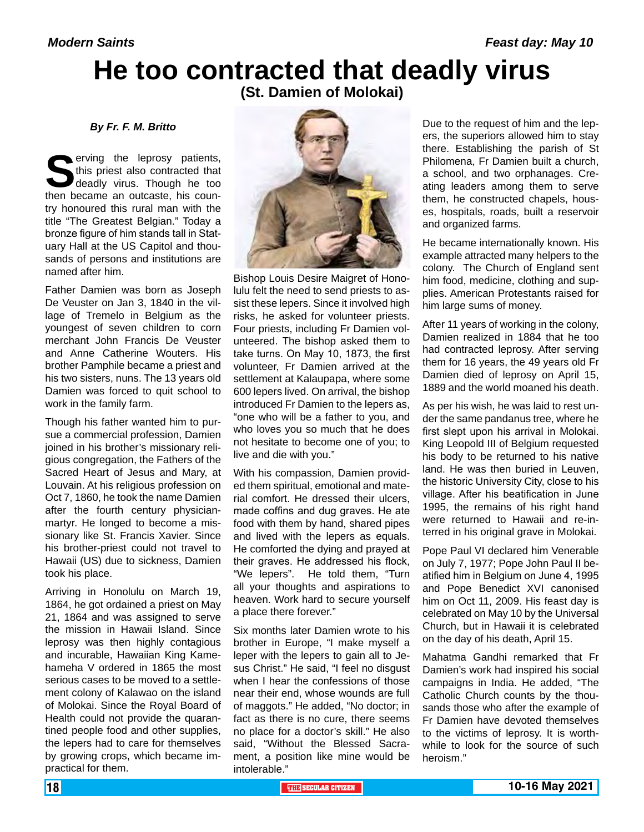# **He too contracted that deadly virus**

**(St. Damien of Molokai)**

*By Fr. F. M. Britto*

**S**erving the leprosy patients, this priest also contracted that deadly virus. Though he too then became an outcaste, his counthis priest also contracted that deadly virus. Though he too try honoured this rural man with the title "The Greatest Belgian." Today a bronze figure of him stands tall in Statuary Hall at the US Capitol and thousands of persons and institutions are named after him.

Father Damien was born as Joseph De Veuster on Jan 3, 1840 in the village of Tremelo in Belgium as the youngest of seven children to corn merchant John Francis De Veuster and Anne Catherine Wouters. His brother Pamphile became a priest and his two sisters, nuns. The 13 years old Damien was forced to quit school to work in the family farm.

Though his father wanted him to pursue a commercial profession, Damien joined in his brother's missionary religious congregation, the Fathers of the Sacred Heart of Jesus and Mary, at Louvain. At his religious profession on Oct 7, 1860, he took the name Damien after the fourth century physicianmartyr. He longed to become a missionary like St. Francis Xavier. Since his brother-priest could not travel to Hawaii (US) due to sickness, Damien took his place.

Arriving in Honolulu on March 19, 1864, he got ordained a priest on May 21, 1864 and was assigned to serve the mission in Hawaii Island. Since leprosy was then highly contagious and incurable, Hawaiian King Kamehameha V ordered in 1865 the most serious cases to be moved to a settlement colony of Kalawao on the island of Molokai. Since the Royal Board of Health could not provide the quarantined people food and other supplies, the lepers had to care for themselves by growing crops, which became impractical for them.



Bishop Louis Desire Maigret of Honolulu felt the need to send priests to assist these lepers. Since it involved high risks, he asked for volunteer priests. Four priests, including Fr Damien volunteered. The bishop asked them to take turns. On May 10, 1873, the first volunteer, Fr Damien arrived at the settlement at Kalaupapa, where some 600 lepers lived. On arrival, the bishop introduced Fr Damien to the lepers as, "one who will be a father to you, and who loves you so much that he does not hesitate to become one of you; to live and die with you."

With his compassion, Damien provided them spiritual, emotional and material comfort. He dressed their ulcers, made coffins and dug graves. He ate food with them by hand, shared pipes and lived with the lepers as equals. He comforted the dying and prayed at their graves. He addressed his flock, "We lepers". He told them, "Turn all your thoughts and aspirations to heaven. Work hard to secure yourself a place there forever."

Six months later Damien wrote to his brother in Europe, "I make myself a leper with the lepers to gain all to Jesus Christ." He said, "I feel no disgust when I hear the confessions of those near their end, whose wounds are full of maggots." He added, "No doctor; in fact as there is no cure, there seems no place for a doctor's skill." He also said, "Without the Blessed Sacrament, a position like mine would be intolerable."

Due to the request of him and the lepers, the superiors allowed him to stay there. Establishing the parish of St Philomena, Fr Damien built a church, a school, and two orphanages. Creating leaders among them to serve them, he constructed chapels, houses, hospitals, roads, built a reservoir and organized farms.

He became internationally known. His example attracted many helpers to the colony. The Church of England sent him food, medicine, clothing and supplies. American Protestants raised for him large sums of money.

After 11 years of working in the colony, Damien realized in 1884 that he too had contracted leprosy. After serving them for 16 years, the 49 years old Fr Damien died of leprosy on April 15, 1889 and the world moaned his death.

As per his wish, he was laid to rest under the same pandanus tree, where he first slept upon his arrival in Molokai. King Leopold III of Belgium requested his body to be returned to his native land. He was then buried in Leuven, the historic University City, close to his village. After his beatification in June 1995, the remains of his right hand were returned to Hawaii and re-interred in his original grave in Molokai.

Pope Paul VI declared him Venerable on July 7, 1977; Pope John Paul II beatified him in Belgium on June 4, 1995 and Pope Benedict XVI canonised him on Oct 11, 2009. His feast day is celebrated on May 10 by the Universal Church, but in Hawaii it is celebrated on the day of his death, April 15.

Mahatma Gandhi remarked that Fr Damien's work had inspired his social campaigns in India. He added, "The Catholic Church counts by the thousands those who after the example of Fr Damien have devoted themselves to the victims of leprosy. It is worthwhile to look for the source of such heroism."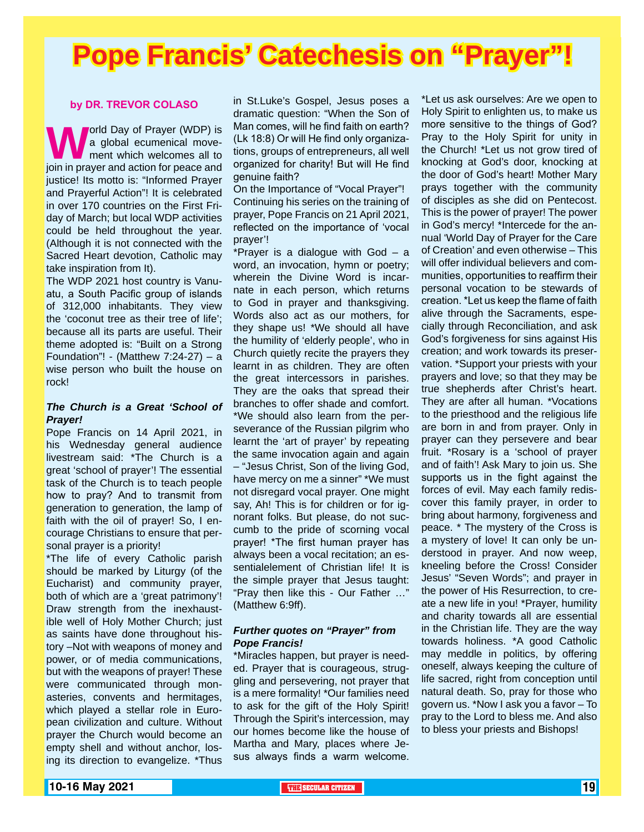# **Pope Francis' Catechesis on "Prayer"!**

#### **by DR. TREVOR COLASO**

**W**orld Day of Prayer (WDP) is<br>
ment which welcomes all to<br>
join in prayer and action for peace and a global ecumenical movement which welcomes all to justice! Its motto is: "Informed Prayer and Prayerful Action"! It is celebrated in over 170 countries on the First Friday of March; but local WDP activities could be held throughout the year. (Although it is not connected with the Sacred Heart devotion, Catholic may take inspiration from It).

The WDP 2021 host country is Vanuatu, a South Pacific group of islands of 312,000 inhabitants. They view the 'coconut tree as their tree of life'; because all its parts are useful. Their theme adopted is: "Built on a Strong Foundation"! - (Matthew 7:24-27) – a wise person who built the house on rock!

#### *The Church is a Great 'School of Prayer!*

Pope Francis on 14 April 2021, in his Wednesday general audience livestream said: \*The Church is a great 'school of prayer'! The essential task of the Church is to teach people how to pray? And to transmit from generation to generation, the lamp of faith with the oil of prayer! So, I encourage Christians to ensure that personal prayer is a priority!

\*The life of every Catholic parish should be marked by Liturgy (of the Eucharist) and community prayer, both of which are a 'great patrimony'! Draw strength from the inexhaustible well of Holy Mother Church; just as saints have done throughout history –Not with weapons of money and power, or of media communications, but with the weapons of prayer! These were communicated through monasteries, convents and hermitages, which played a stellar role in European civilization and culture. Without prayer the Church would become an empty shell and without anchor, losing its direction to evangelize. \*Thus in St.Luke's Gospel, Jesus poses a dramatic question: "When the Son of Man comes, will he find faith on earth? (Lk 18:8) Or will He find only organizations, groups of entrepreneurs, all well organized for charity! But will He find genuine faith?

On the Importance of "Vocal Prayer"! Continuing his series on the training of prayer, Pope Francis on 21 April 2021, reflected on the importance of 'vocal prayer'!

\*Prayer is a dialogue with God – a word, an invocation, hymn or poetry; wherein the Divine Word is incarnate in each person, which returns to God in prayer and thanksgiving. Words also act as our mothers, for they shape us! \*We should all have the humility of 'elderly people', who in Church quietly recite the prayers they learnt in as children. They are often the great intercessors in parishes. They are the oaks that spread their branches to offer shade and comfort. \*We should also learn from the perseverance of the Russian pilgrim who learnt the 'art of prayer' by repeating the same invocation again and again – "Jesus Christ, Son of the living God, have mercy on me a sinner" \*We must not disregard vocal prayer. One might say, Ah! This is for children or for ignorant folks. But please, do not succumb to the pride of scorning vocal prayer! \*The first human prayer has always been a vocal recitation; an essentialelement of Christian life! It is the simple prayer that Jesus taught: "Pray then like this - Our Father …" (Matthew 6:9ff).

#### *Further quotes on "Prayer" from Pope Francis!*

\*Miracles happen, but prayer is needed. Prayer that is courageous, struggling and persevering, not prayer that is a mere formality! \*Our families need to ask for the gift of the Holy Spirit! Through the Spirit's intercession, may our homes become like the house of Martha and Mary, places where Jesus always finds a warm welcome.

\*Let us ask ourselves: Are we open to Holy Spirit to enlighten us, to make us more sensitive to the things of God? Pray to the Holy Spirit for unity in the Church! \*Let us not grow tired of knocking at God's door, knocking at the door of God's heart! Mother Mary prays together with the community of disciples as she did on Pentecost. This is the power of prayer! The power in God's mercy! \*Intercede for the annual 'World Day of Prayer for the Care of Creation' and even otherwise – This will offer individual believers and communities, opportunities to reaffirm their personal vocation to be stewards of creation. \*Let us keep the flame of faith alive through the Sacraments, especially through Reconciliation, and ask God's forgiveness for sins against His creation; and work towards its preservation. \*Support your priests with your prayers and love; so that they may be true shepherds after Christ's heart. They are after all human. \*Vocations to the priesthood and the religious life are born in and from prayer. Only in prayer can they persevere and bear fruit. \*Rosary is a 'school of prayer and of faith'! Ask Mary to join us. She supports us in the fight against the forces of evil. May each family rediscover this family prayer, in order to bring about harmony, forgiveness and peace. \* The mystery of the Cross is a mystery of love! It can only be understood in prayer. And now weep, kneeling before the Cross! Consider Jesus' "Seven Words"; and prayer in the power of His Resurrection, to create a new life in you! \*Prayer, humility and charity towards all are essential in the Christian life. They are the way towards holiness. \*A good Catholic may meddle in politics, by offering oneself, always keeping the culture of life sacred, right from conception until natural death. So, pray for those who govern us. \*Now I ask you a favor – To pray to the Lord to bless me. And also to bless your priests and Bishops!